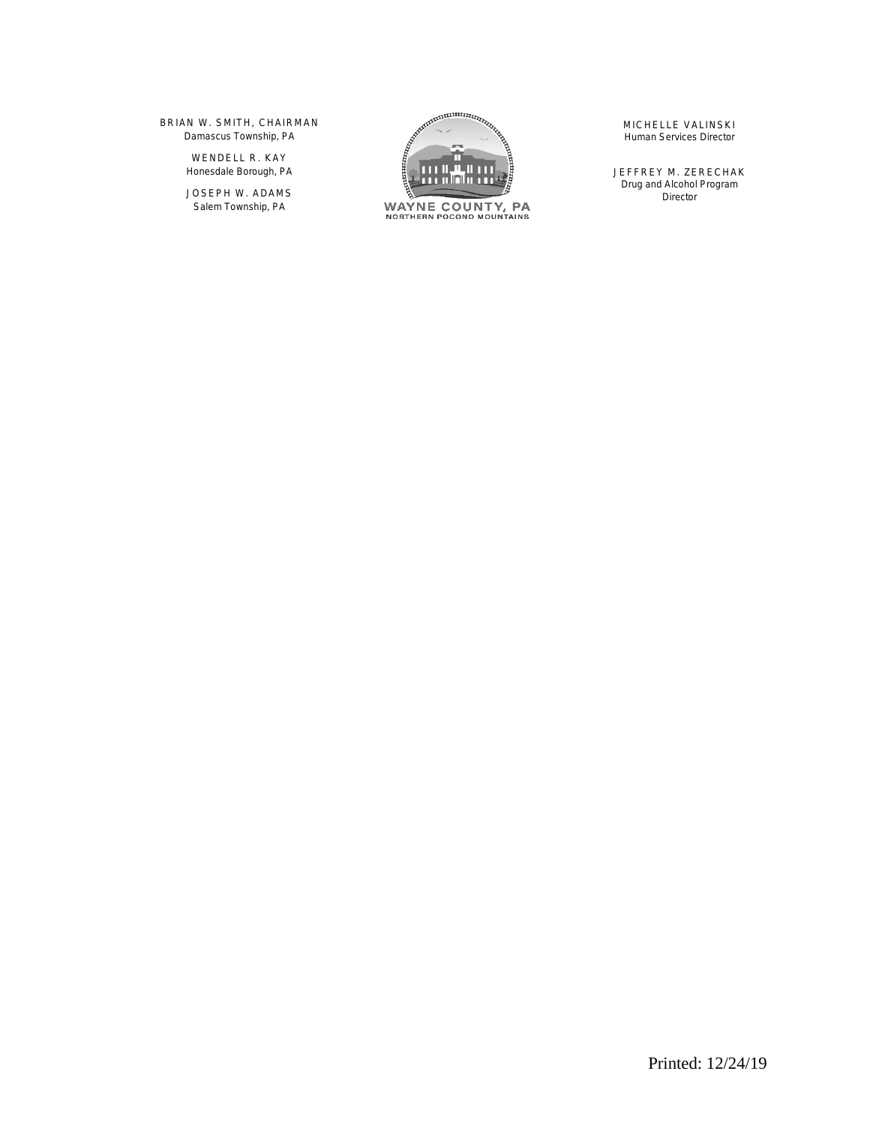BRIAN W. SMITH, CHAIRMAN *Damascus Township, PA*

> WENDELL R. KAY *Honesdale Borough, PA*

JOSEPH W. ADAMS *Salem Township, PA*



MICHELLE VALINSKI *Human Services Director*

JEFFREY M. ZERECHAK *Drug and Alcohol Program Director*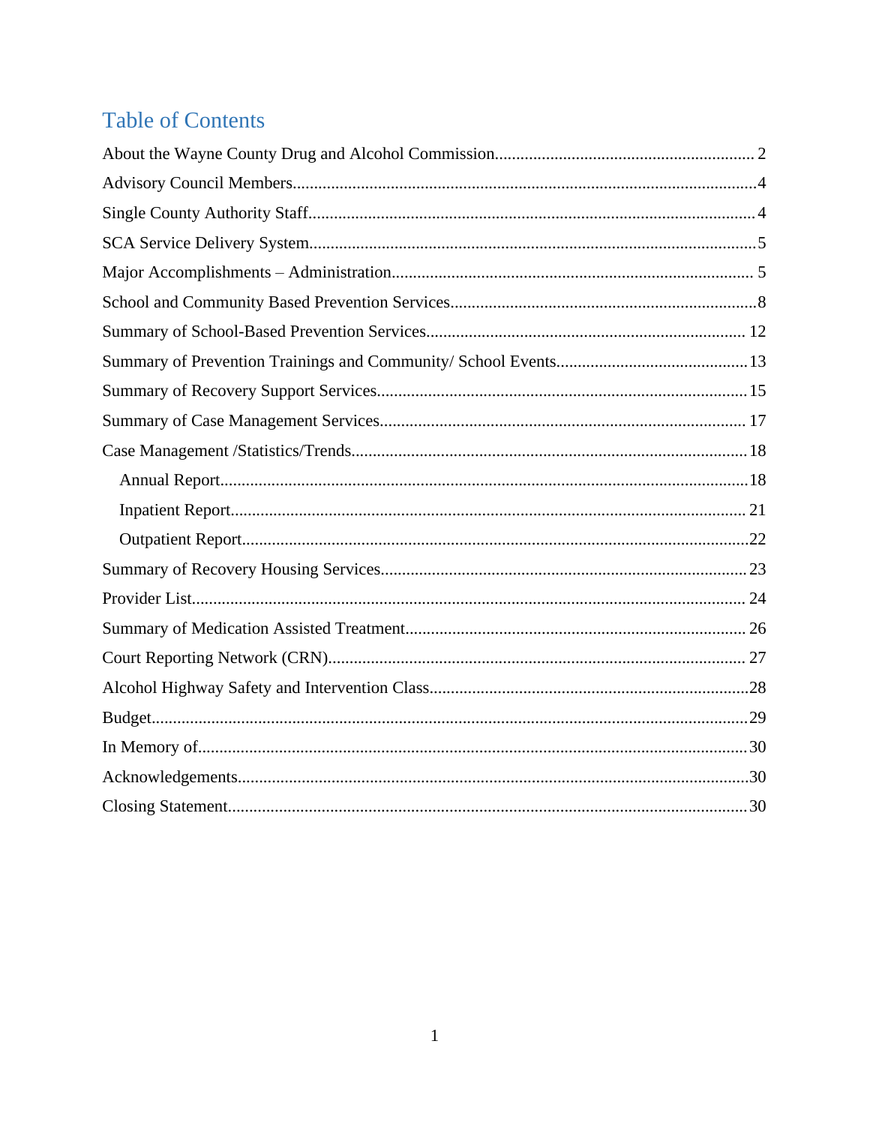# **Table of Contents**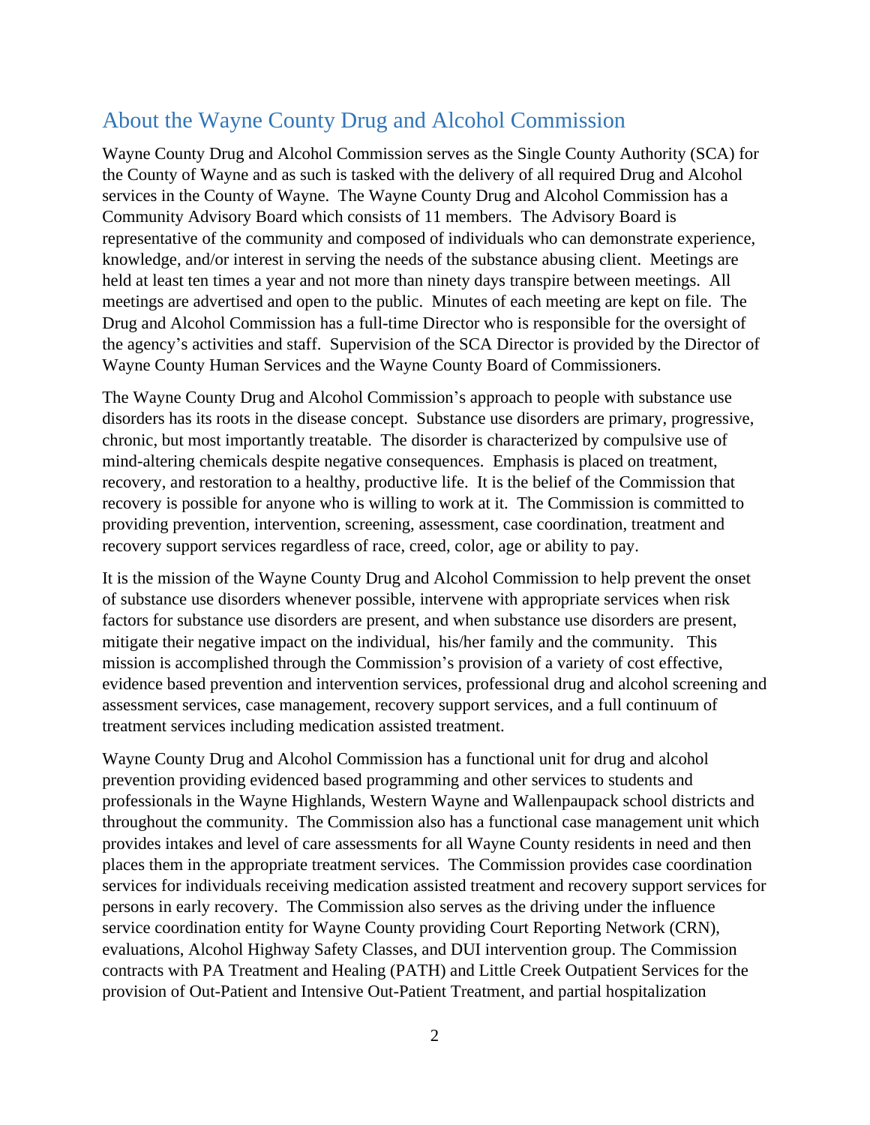### <span id="page-2-0"></span>About the Wayne County Drug and Alcohol Commission

Wayne County Drug and Alcohol Commission serves as the Single County Authority (SCA) for the County of Wayne and as such is tasked with the delivery of all required Drug and Alcohol services in the County of Wayne. The Wayne County Drug and Alcohol Commission has a Community Advisory Board which consists of 11 members. The Advisory Board is representative of the community and composed of individuals who can demonstrate experience, knowledge, and/or interest in serving the needs of the substance abusing client. Meetings are held at least ten times a year and not more than ninety days transpire between meetings. All meetings are advertised and open to the public. Minutes of each meeting are kept on file. The Drug and Alcohol Commission has a full-time Director who is responsible for the oversight of the agency's activities and staff. Supervision of the SCA Director is provided by the Director of Wayne County Human Services and the Wayne County Board of Commissioners.

The Wayne County Drug and Alcohol Commission's approach to people with substance use disorders has its roots in the disease concept. Substance use disorders are primary, progressive, chronic, but most importantly treatable. The disorder is characterized by compulsive use of mind-altering chemicals despite negative consequences. Emphasis is placed on treatment, recovery, and restoration to a healthy, productive life. It is the belief of the Commission that recovery is possible for anyone who is willing to work at it. The Commission is committed to providing prevention, intervention, screening, assessment, case coordination, treatment and recovery support services regardless of race, creed, color, age or ability to pay.

It is the mission of the Wayne County Drug and Alcohol Commission to help prevent the onset of substance use disorders whenever possible, intervene with appropriate services when risk factors for substance use disorders are present, and when substance use disorders are present, mitigate their negative impact on the individual, his/her family and the community. This mission is accomplished through the Commission's provision of a variety of cost effective, evidence based prevention and intervention services, professional drug and alcohol screening and assessment services, case management, recovery support services, and a full continuum of treatment services including medication assisted treatment.

Wayne County Drug and Alcohol Commission has a functional unit for drug and alcohol prevention providing evidenced based programming and other services to students and professionals in the Wayne Highlands, Western Wayne and Wallenpaupack school districts and throughout the community. The Commission also has a functional case management unit which provides intakes and level of care assessments for all Wayne County residents in need and then places them in the appropriate treatment services. The Commission provides case coordination services for individuals receiving medication assisted treatment and recovery support services for persons in early recovery. The Commission also serves as the driving under the influence service coordination entity for Wayne County providing Court Reporting Network (CRN), evaluations, Alcohol Highway Safety Classes, and DUI intervention group. The Commission contracts with PA Treatment and Healing (PATH) and Little Creek Outpatient Services for the provision of Out-Patient and Intensive Out-Patient Treatment, and partial hospitalization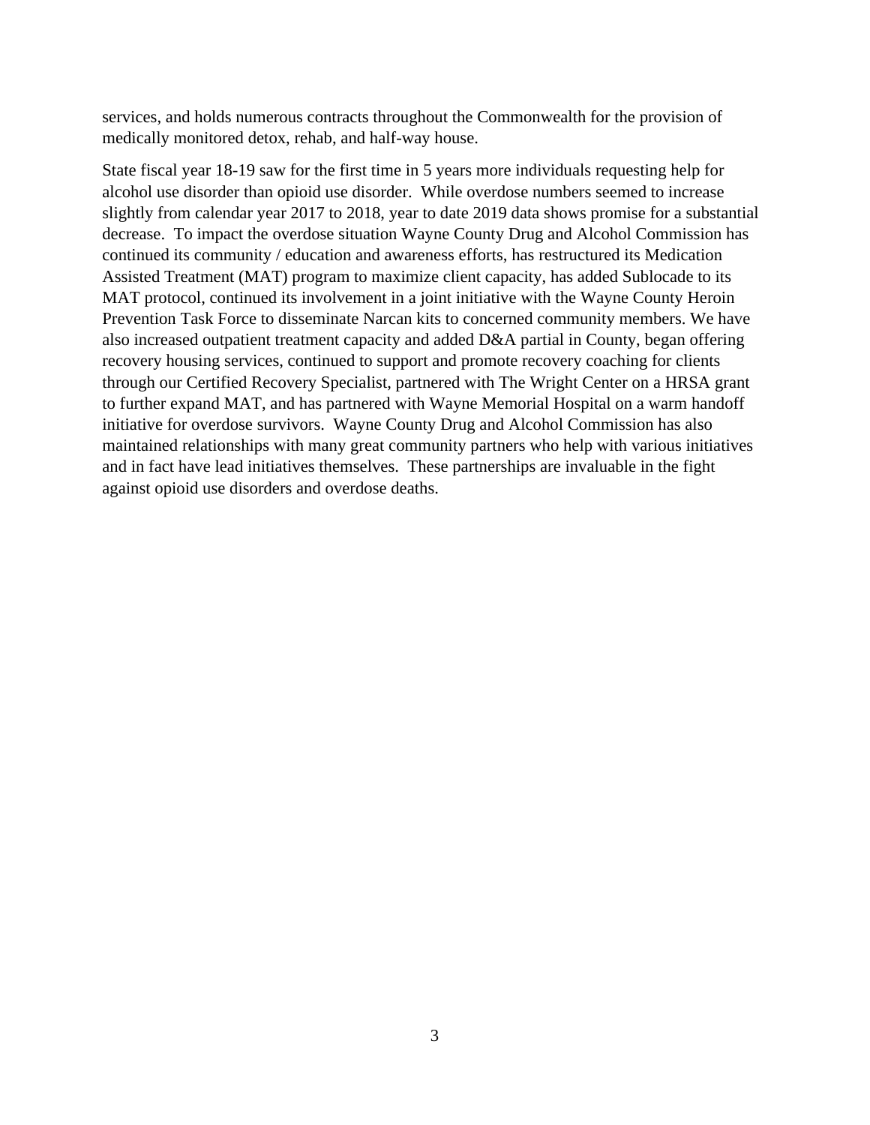services, and holds numerous contracts throughout the Commonwealth for the provision of medically monitored detox, rehab, and half-way house.

State fiscal year 18-19 saw for the first time in 5 years more individuals requesting help for alcohol use disorder than opioid use disorder. While overdose numbers seemed to increase slightly from calendar year 2017 to 2018, year to date 2019 data shows promise for a substantial decrease. To impact the overdose situation Wayne County Drug and Alcohol Commission has continued its community / education and awareness efforts, has restructured its Medication Assisted Treatment (MAT) program to maximize client capacity, has added Sublocade to its MAT protocol, continued its involvement in a joint initiative with the Wayne County Heroin Prevention Task Force to disseminate Narcan kits to concerned community members. We have also increased outpatient treatment capacity and added D&A partial in County, began offering recovery housing services, continued to support and promote recovery coaching for clients through our Certified Recovery Specialist, partnered with The Wright Center on a HRSA grant to further expand MAT, and has partnered with Wayne Memorial Hospital on a warm handoff initiative for overdose survivors. Wayne County Drug and Alcohol Commission has also maintained relationships with many great community partners who help with various initiatives and in fact have lead initiatives themselves. These partnerships are invaluable in the fight against opioid use disorders and overdose deaths.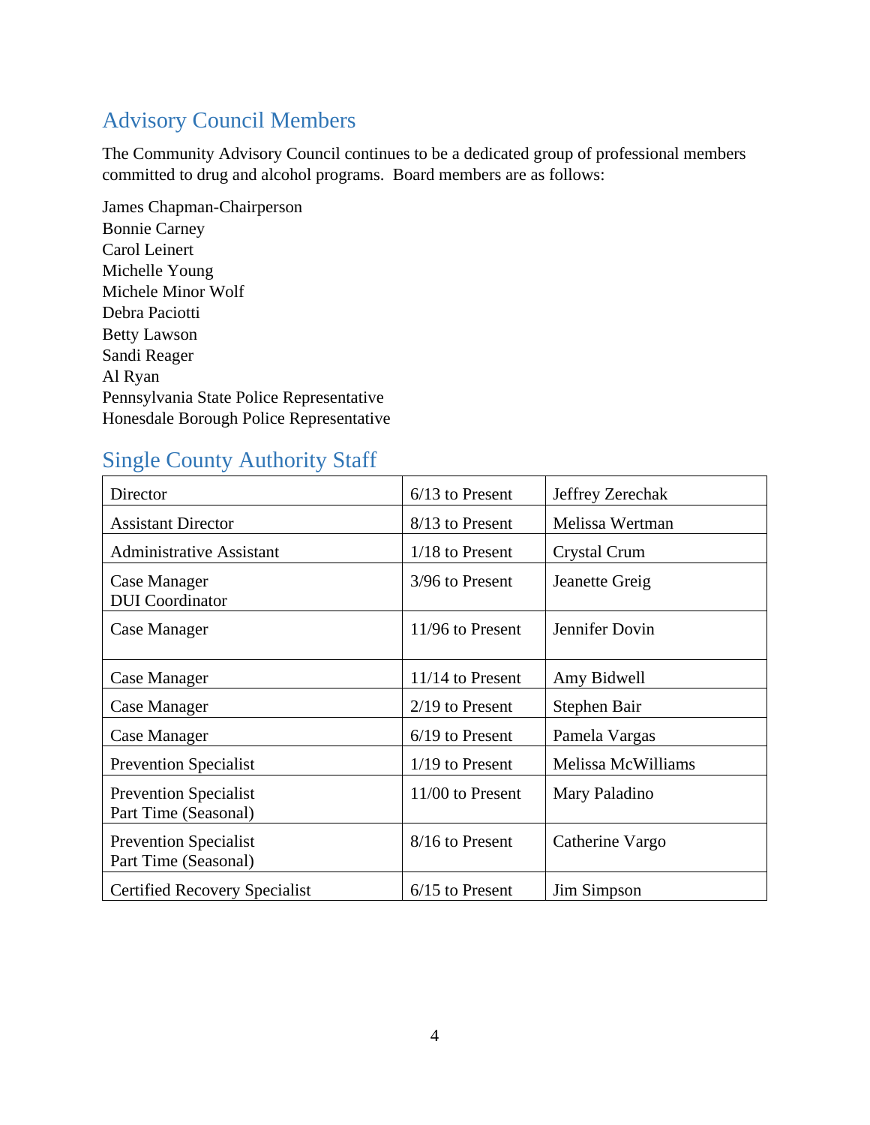# <span id="page-4-0"></span>Advisory Council Members

The Community Advisory Council continues to be a dedicated group of professional members committed to drug and alcohol programs. Board members are as follows:

James Chapman-Chairperson Bonnie Carney Carol Leinert Michelle Young Michele Minor Wolf Debra Paciotti Betty Lawson Sandi Reager Al Ryan Pennsylvania State Police Representative Honesdale Borough Police Representative

## <span id="page-4-1"></span>Single County Authority Staff

| Director                                             | $6/13$ to Present  | Jeffrey Zerechak   |
|------------------------------------------------------|--------------------|--------------------|
| <b>Assistant Director</b>                            | 8/13 to Present    | Melissa Wertman    |
| <b>Administrative Assistant</b>                      | $1/18$ to Present  | Crystal Crum       |
| Case Manager<br><b>DUI</b> Coordinator               | 3/96 to Present    | Jeanette Greig     |
| Case Manager                                         | 11/96 to Present   | Jennifer Dovin     |
| Case Manager                                         | $11/14$ to Present | Amy Bidwell        |
| Case Manager                                         | $2/19$ to Present  | Stephen Bair       |
| Case Manager                                         | $6/19$ to Present  | Pamela Vargas      |
| <b>Prevention Specialist</b>                         | $1/19$ to Present  | Melissa McWilliams |
| <b>Prevention Specialist</b><br>Part Time (Seasonal) | 11/00 to Present   | Mary Paladino      |
| <b>Prevention Specialist</b><br>Part Time (Seasonal) | 8/16 to Present    | Catherine Vargo    |
| <b>Certified Recovery Specialist</b>                 | $6/15$ to Present  | Jim Simpson        |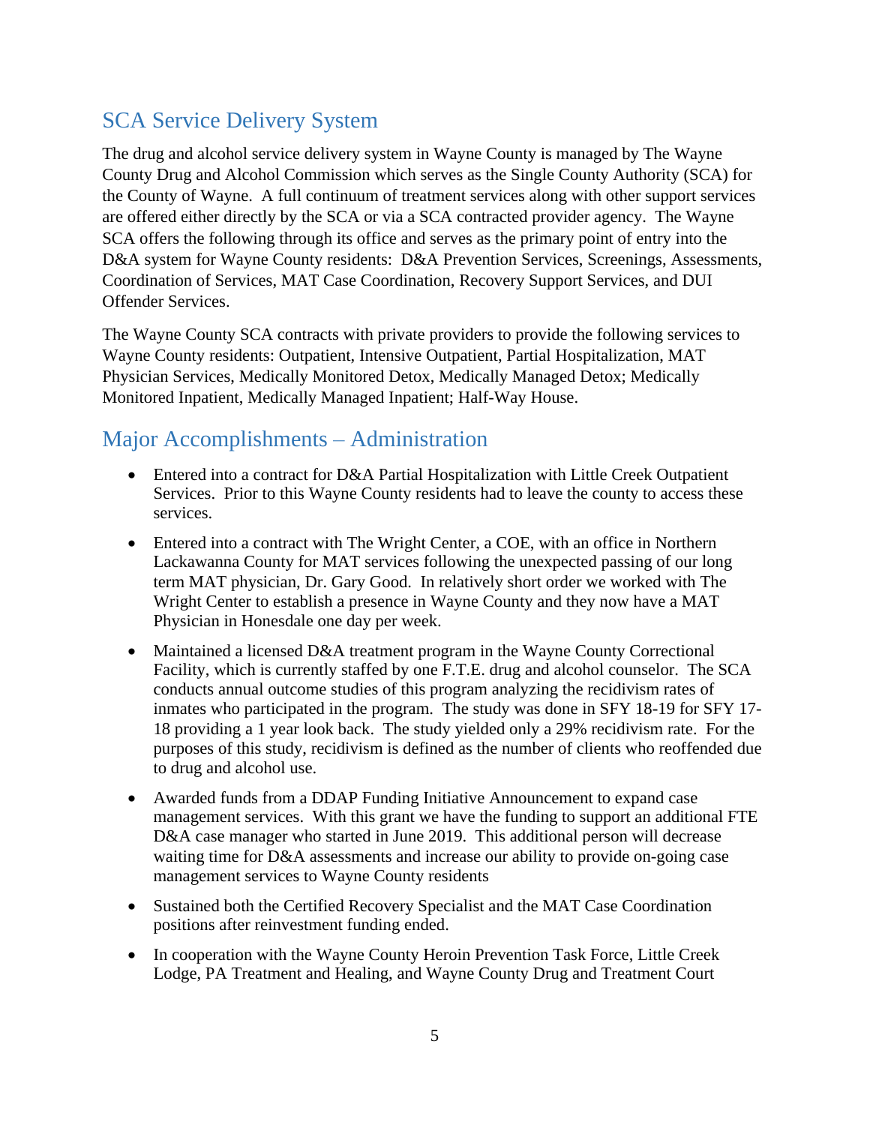## <span id="page-5-0"></span>SCA Service Delivery System

The drug and alcohol service delivery system in Wayne County is managed by The Wayne County Drug and Alcohol Commission which serves as the Single County Authority (SCA) for the County of Wayne. A full continuum of treatment services along with other support services are offered either directly by the SCA or via a SCA contracted provider agency. The Wayne SCA offers the following through its office and serves as the primary point of entry into the D&A system for Wayne County residents: D&A Prevention Services, Screenings, Assessments, Coordination of Services, MAT Case Coordination, Recovery Support Services, and DUI Offender Services.

The Wayne County SCA contracts with private providers to provide the following services to Wayne County residents: Outpatient, Intensive Outpatient, Partial Hospitalization, MAT Physician Services, Medically Monitored Detox, Medically Managed Detox; Medically Monitored Inpatient, Medically Managed Inpatient; Half-Way House.

### <span id="page-5-1"></span>Major Accomplishments – Administration

- Entered into a contract for D&A Partial Hospitalization with Little Creek Outpatient Services. Prior to this Wayne County residents had to leave the county to access these services.
- Entered into a contract with The Wright Center, a COE, with an office in Northern Lackawanna County for MAT services following the unexpected passing of our long term MAT physician, Dr. Gary Good. In relatively short order we worked with The Wright Center to establish a presence in Wayne County and they now have a MAT Physician in Honesdale one day per week.
- Maintained a licensed D&A treatment program in the Wayne County Correctional Facility, which is currently staffed by one F.T.E. drug and alcohol counselor. The SCA conducts annual outcome studies of this program analyzing the recidivism rates of inmates who participated in the program. The study was done in SFY 18-19 for SFY 17- 18 providing a 1 year look back. The study yielded only a 29% recidivism rate. For the purposes of this study, recidivism is defined as the number of clients who reoffended due to drug and alcohol use.
- Awarded funds from a DDAP Funding Initiative Announcement to expand case management services. With this grant we have the funding to support an additional FTE D&A case manager who started in June 2019. This additional person will decrease waiting time for D&A assessments and increase our ability to provide on-going case management services to Wayne County residents
- Sustained both the Certified Recovery Specialist and the MAT Case Coordination positions after reinvestment funding ended.
- In cooperation with the Wayne County Heroin Prevention Task Force, Little Creek Lodge, PA Treatment and Healing, and Wayne County Drug and Treatment Court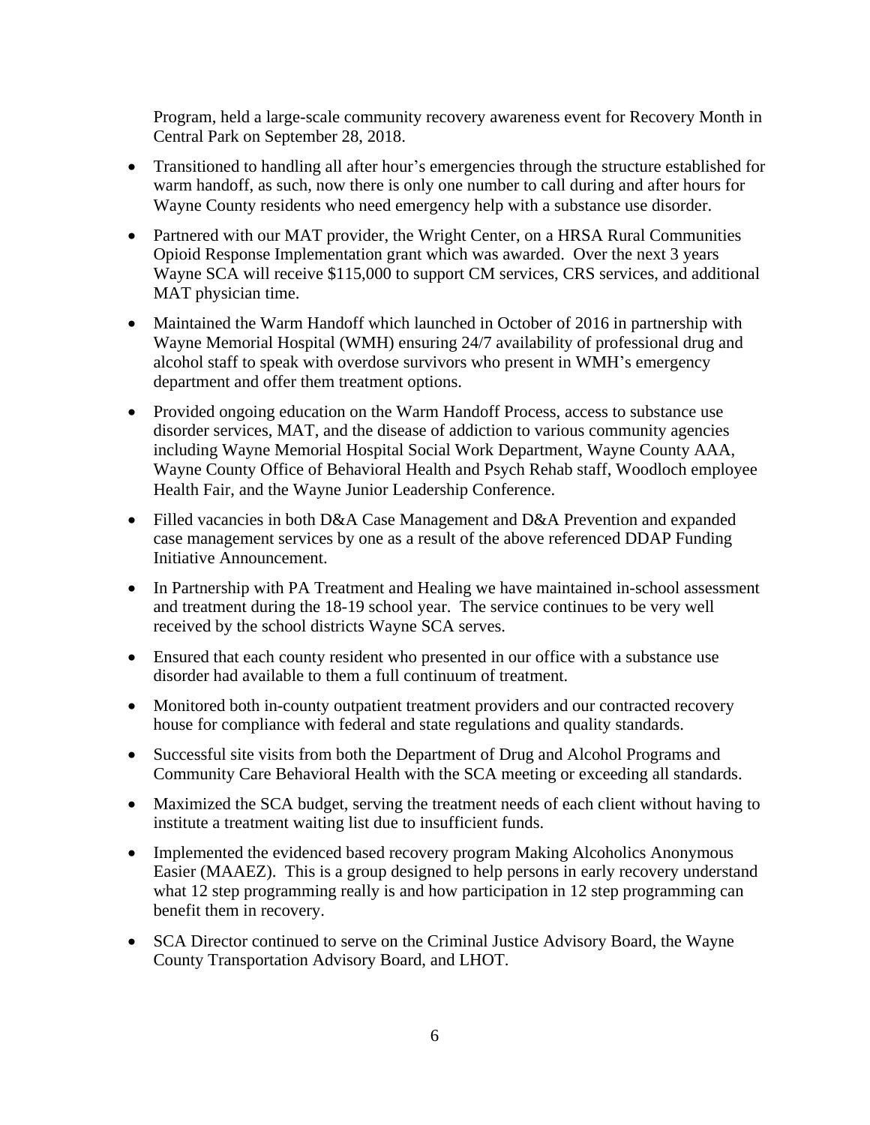Program, held a large-scale community recovery awareness event for Recovery Month in Central Park on September 28, 2018.

- Transitioned to handling all after hour's emergencies through the structure established for warm handoff, as such, now there is only one number to call during and after hours for Wayne County residents who need emergency help with a substance use disorder.
- Partnered with our MAT provider, the Wright Center, on a HRSA Rural Communities Opioid Response Implementation grant which was awarded. Over the next 3 years Wayne SCA will receive \$115,000 to support CM services, CRS services, and additional MAT physician time.
- Maintained the Warm Handoff which launched in October of 2016 in partnership with Wayne Memorial Hospital (WMH) ensuring 24/7 availability of professional drug and alcohol staff to speak with overdose survivors who present in WMH's emergency department and offer them treatment options.
- Provided ongoing education on the Warm Handoff Process, access to substance use disorder services, MAT, and the disease of addiction to various community agencies including Wayne Memorial Hospital Social Work Department, Wayne County AAA, Wayne County Office of Behavioral Health and Psych Rehab staff, Woodloch employee Health Fair, and the Wayne Junior Leadership Conference.
- Filled vacancies in both D&A Case Management and D&A Prevention and expanded case management services by one as a result of the above referenced DDAP Funding Initiative Announcement.
- In Partnership with PA Treatment and Healing we have maintained in-school assessment and treatment during the 18-19 school year. The service continues to be very well received by the school districts Wayne SCA serves.
- Ensured that each county resident who presented in our office with a substance use disorder had available to them a full continuum of treatment.
- Monitored both in-county outpatient treatment providers and our contracted recovery house for compliance with federal and state regulations and quality standards.
- Successful site visits from both the Department of Drug and Alcohol Programs and Community Care Behavioral Health with the SCA meeting or exceeding all standards.
- Maximized the SCA budget, serving the treatment needs of each client without having to institute a treatment waiting list due to insufficient funds.
- Implemented the evidenced based recovery program Making Alcoholics Anonymous Easier (MAAEZ). This is a group designed to help persons in early recovery understand what 12 step programming really is and how participation in 12 step programming can benefit them in recovery.
- SCA Director continued to serve on the Criminal Justice Advisory Board, the Wayne County Transportation Advisory Board, and LHOT.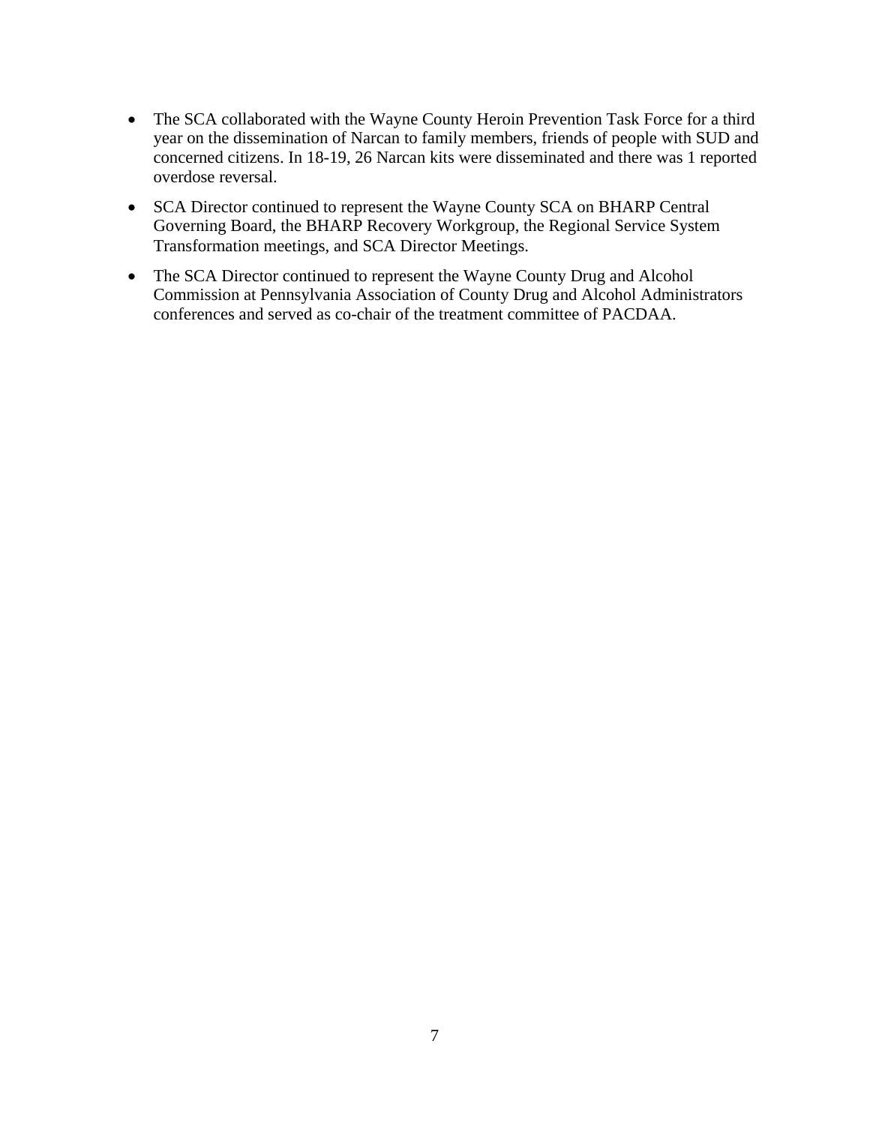- The SCA collaborated with the Wayne County Heroin Prevention Task Force for a third year on the dissemination of Narcan to family members, friends of people with SUD and concerned citizens. In 18-19, 26 Narcan kits were disseminated and there was 1 reported overdose reversal.
- SCA Director continued to represent the Wayne County SCA on BHARP Central Governing Board, the BHARP Recovery Workgroup, the Regional Service System Transformation meetings, and SCA Director Meetings.
- The SCA Director continued to represent the Wayne County Drug and Alcohol Commission at Pennsylvania Association of County Drug and Alcohol Administrators conferences and served as co-chair of the treatment committee of PACDAA.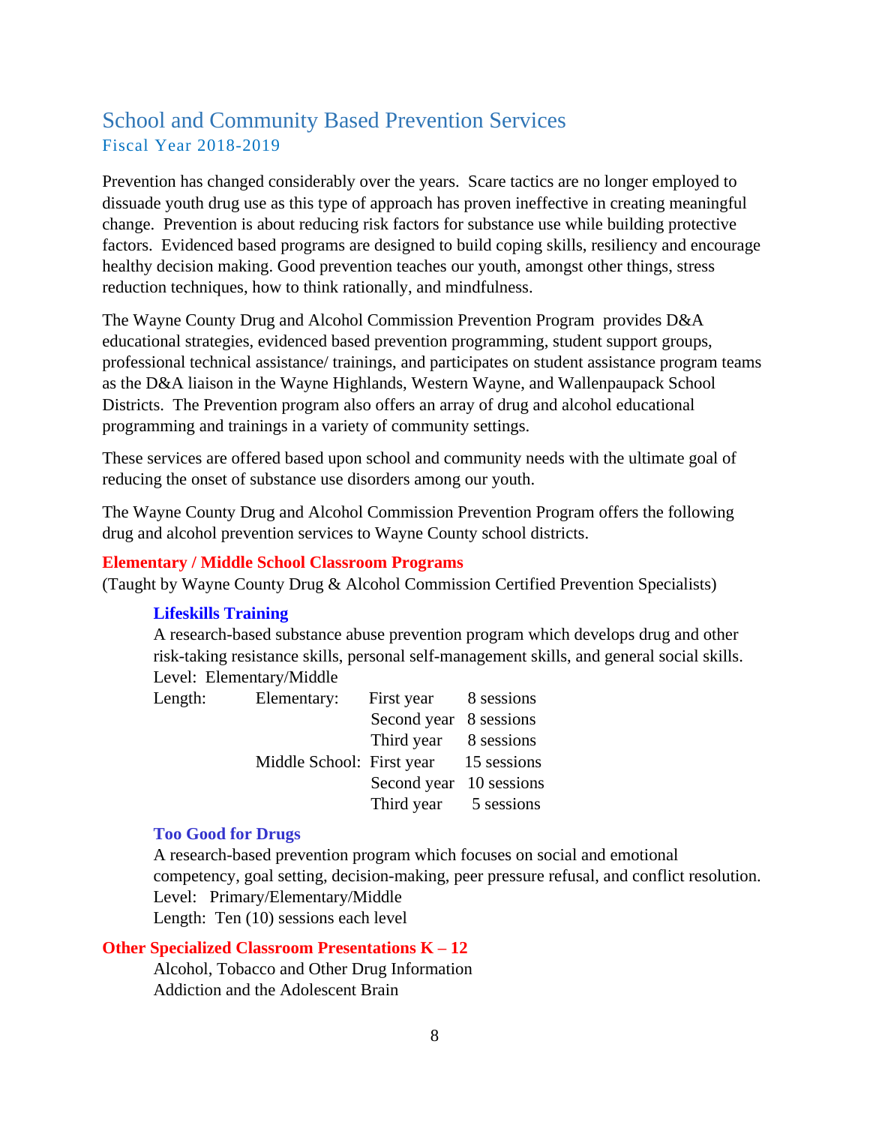### <span id="page-8-0"></span>School and Community Based Prevention Services Fiscal Year 2018-2019

Prevention has changed considerably over the years. Scare tactics are no longer employed to dissuade youth drug use as this type of approach has proven ineffective in creating meaningful change. Prevention is about reducing risk factors for substance use while building protective factors. Evidenced based programs are designed to build coping skills, resiliency and encourage healthy decision making. Good prevention teaches our youth, amongst other things, stress reduction techniques, how to think rationally, and mindfulness.

The Wayne County Drug and Alcohol Commission Prevention Program provides D&A educational strategies, evidenced based prevention programming, student support groups, professional technical assistance/ trainings, and participates on student assistance program teams as the D&A liaison in the Wayne Highlands, Western Wayne, and Wallenpaupack School Districts. The Prevention program also offers an array of drug and alcohol educational programming and trainings in a variety of community settings.

These services are offered based upon school and community needs with the ultimate goal of reducing the onset of substance use disorders among our youth.

The Wayne County Drug and Alcohol Commission Prevention Program offers the following drug and alcohol prevention services to Wayne County school districts.

#### **Elementary / Middle School Classroom Programs**

(Taught by Wayne County Drug & Alcohol Commission Certified Prevention Specialists)

#### **Lifeskills Training**

A research-based substance abuse prevention program which develops drug and other risk-taking resistance skills, personal self-management skills, and general social skills. Level: Elementary/Middle

| Length: | Elementary:                           | First year 8 sessions   |  |
|---------|---------------------------------------|-------------------------|--|
|         |                                       | Second year 8 sessions  |  |
|         |                                       | Third year 8 sessions   |  |
|         | Middle School: First year 15 sessions |                         |  |
|         |                                       | Second year 10 sessions |  |
|         |                                       | Third year 5 sessions   |  |

#### **Too Good for Drugs**

A research-based prevention program which focuses on social and emotional competency, goal setting, decision-making, peer pressure refusal, and conflict resolution. Level: Primary/Elementary/Middle Length: Ten (10) sessions each level

#### **Other Specialized Classroom Presentations K – 12**

Alcohol, Tobacco and Other Drug Information Addiction and the Adolescent Brain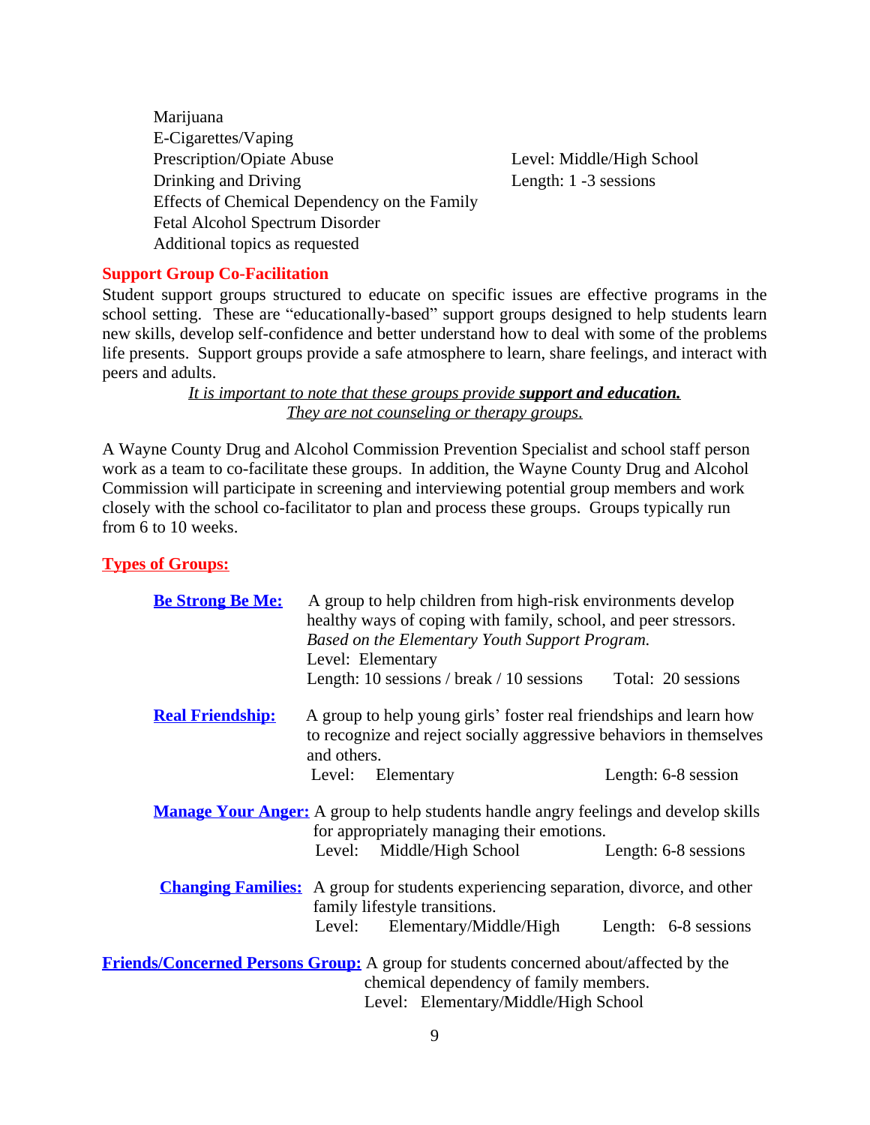Marijuana E-Cigarettes/Vaping Prescription/Opiate Abuse Level: Middle/High School Drinking and Driving Length: 1 -3 sessions Effects of Chemical Dependency on the Family Fetal Alcohol Spectrum Disorder Additional topics as requested

#### **Support Group Co-Facilitation**

Student support groups structured to educate on specific issues are effective programs in the school setting. These are "educationally-based" support groups designed to help students learn new skills, develop self-confidence and better understand how to deal with some of the problems life presents. Support groups provide a safe atmosphere to learn, share feelings, and interact with peers and adults.

> *It is important to note that these groups provide support and education. They are not counseling or therapy groups*.

A Wayne County Drug and Alcohol Commission Prevention Specialist and school staff person work as a team to co-facilitate these groups. In addition, the Wayne County Drug and Alcohol Commission will participate in screening and interviewing potential group members and work closely with the school co-facilitator to plan and process these groups. Groups typically run from 6 to 10 weeks.

#### **Types of Groups:**

| <b>Be Strong Be Me:</b> | A group to help children from high-risk environments develop<br>healthy ways of coping with family, school, and peer stressors. |                                                                                             |                      |  |  |  |  |
|-------------------------|---------------------------------------------------------------------------------------------------------------------------------|---------------------------------------------------------------------------------------------|----------------------|--|--|--|--|
|                         |                                                                                                                                 | Based on the Elementary Youth Support Program.                                              |                      |  |  |  |  |
|                         |                                                                                                                                 | Level: Elementary                                                                           |                      |  |  |  |  |
|                         |                                                                                                                                 | Length: 10 sessions / break / 10 sessions                                                   | Total: 20 sessions   |  |  |  |  |
| <b>Real Friendship:</b> |                                                                                                                                 | A group to help young girls' foster real friendships and learn how                          |                      |  |  |  |  |
|                         |                                                                                                                                 | to recognize and reject socially aggressive behaviors in themselves                         |                      |  |  |  |  |
|                         | and others.                                                                                                                     |                                                                                             |                      |  |  |  |  |
|                         | Level:                                                                                                                          | Elementary                                                                                  | Length: 6-8 session  |  |  |  |  |
|                         |                                                                                                                                 |                                                                                             |                      |  |  |  |  |
|                         |                                                                                                                                 | <b>Manage Your Anger:</b> A group to help students handle angry feelings and develop skills |                      |  |  |  |  |
|                         |                                                                                                                                 | for appropriately managing their emotions.                                                  |                      |  |  |  |  |
|                         |                                                                                                                                 | Level: Middle/High School                                                                   | Length: 6-8 sessions |  |  |  |  |
|                         |                                                                                                                                 |                                                                                             |                      |  |  |  |  |
|                         |                                                                                                                                 | <b>Changing Families:</b> A group for students experiencing separation, divorce, and other  |                      |  |  |  |  |
|                         |                                                                                                                                 | family lifestyle transitions.                                                               |                      |  |  |  |  |
|                         | Level:                                                                                                                          | Elementary/Middle/High                                                                      | Length: 6-8 sessions |  |  |  |  |
|                         |                                                                                                                                 |                                                                                             |                      |  |  |  |  |
|                         |                                                                                                                                 | Friends/Concerned Persons Group: A group for students concerned about/affected by the       |                      |  |  |  |  |
|                         |                                                                                                                                 | chemical dependency of family members.                                                      |                      |  |  |  |  |
|                         |                                                                                                                                 | Level: Elementary/Middle/High School                                                        |                      |  |  |  |  |
|                         |                                                                                                                                 |                                                                                             |                      |  |  |  |  |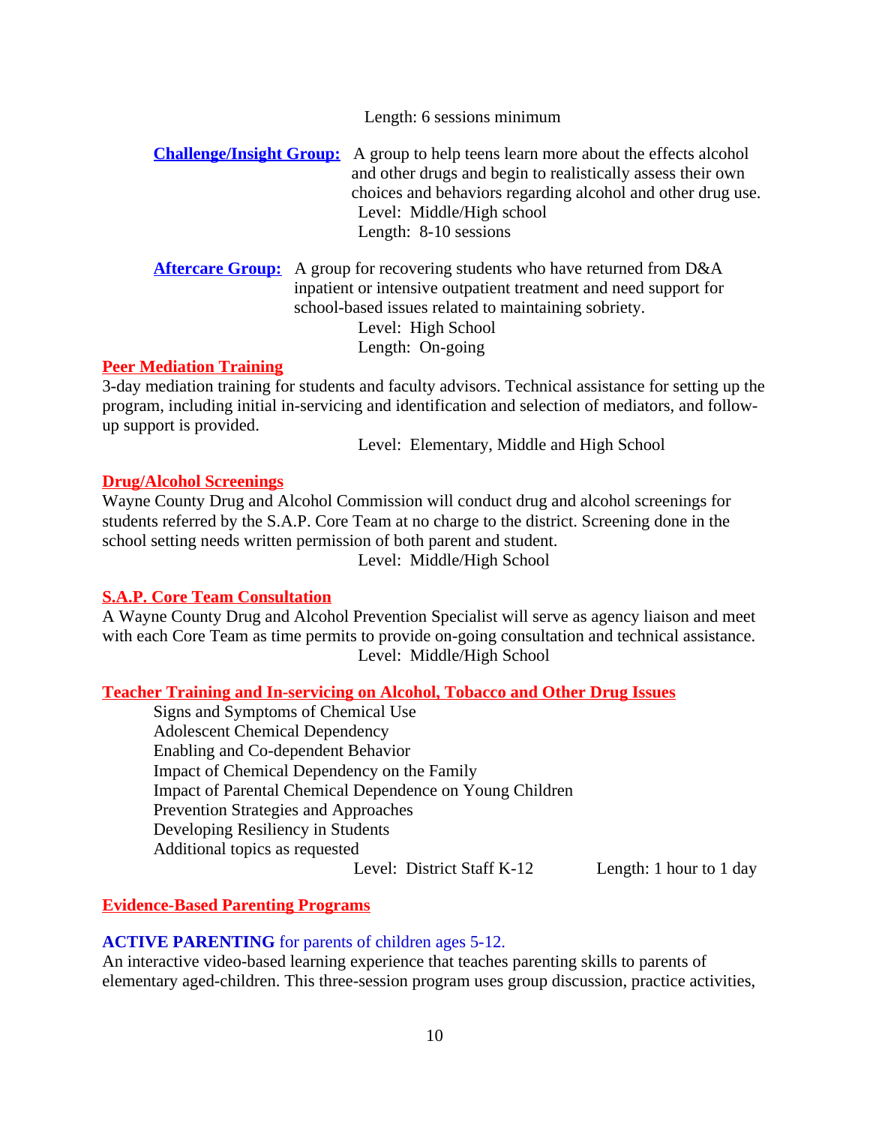Length: 6 sessions minimum

**Challenge/Insight Group:** A group to help teens learn more about the effects alcohol and other drugs and begin to realistically assess their own choices and behaviors regarding alcohol and other drug use. Level: Middle/High school Length: 8-10 sessions

**Aftercare Group:** A group for recovering students who have returned from D&A inpatient or intensive outpatient treatment and need support for school-based issues related to maintaining sobriety. Level: High School Length: On-going

#### **Peer Mediation Training**

3-day mediation training for students and faculty advisors. Technical assistance for setting up the program, including initial in-servicing and identification and selection of mediators, and followup support is provided.

Level: Elementary, Middle and High School

#### **Drug/Alcohol Screenings**

Wayne County Drug and Alcohol Commission will conduct drug and alcohol screenings for students referred by the S.A.P. Core Team at no charge to the district. Screening done in the school setting needs written permission of both parent and student.

Level: Middle/High School

#### **S.A.P. Core Team Consultation**

A Wayne County Drug and Alcohol Prevention Specialist will serve as agency liaison and meet with each Core Team as time permits to provide on-going consultation and technical assistance. Level: Middle/High School

**Teacher Training and In-servicing on Alcohol, Tobacco and Other Drug Issues**

Signs and Symptoms of Chemical Use Adolescent Chemical Dependency Enabling and Co-dependent Behavior Impact of Chemical Dependency on the Family Impact of Parental Chemical Dependence on Young Children Prevention Strategies and Approaches Developing Resiliency in Students Additional topics as requested

Level: District Staff K-12 Length: 1 hour to 1 day

#### **Evidence-Based Parenting Programs**

#### **ACTIVE PARENTING** for parents of children ages 5-12.

An interactive video-based learning experience that teaches parenting skills to parents of elementary aged-children. This three-session program uses group discussion, practice activities,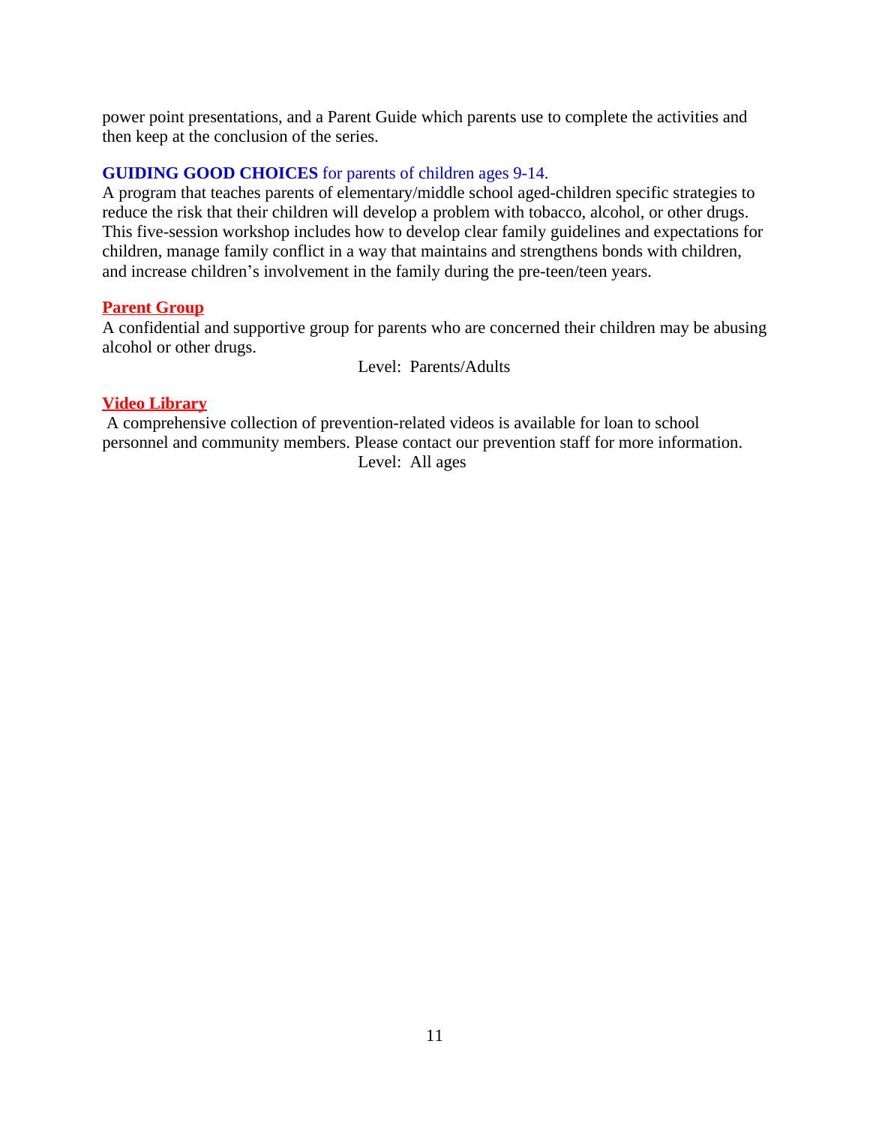power point presentations, and a Parent Guide which parents use to complete the activities and then keep at the conclusion of the series.

#### **GUIDING GOOD CHOICES** for parents of children ages 9-14.

A program that teaches parents of elementary/middle school aged-children specific strategies to reduce the risk that their children will develop a problem with tobacco, alcohol, or other drugs. This five-session workshop includes how to develop clear family guidelines and expectations for children, manage family conflict in a way that maintains and strengthens bonds with children, and increase children's involvement in the family during the pre-teen/teen years.

#### **Parent Group**

A confidential and supportive group for parents who are concerned their children may be abusing alcohol or other drugs.

Level: Parents/Adults

#### **Video Library**

 A comprehensive collection of prevention-related videos is available for loan to school personnel and community members. Please contact our prevention staff for more information. Level: All ages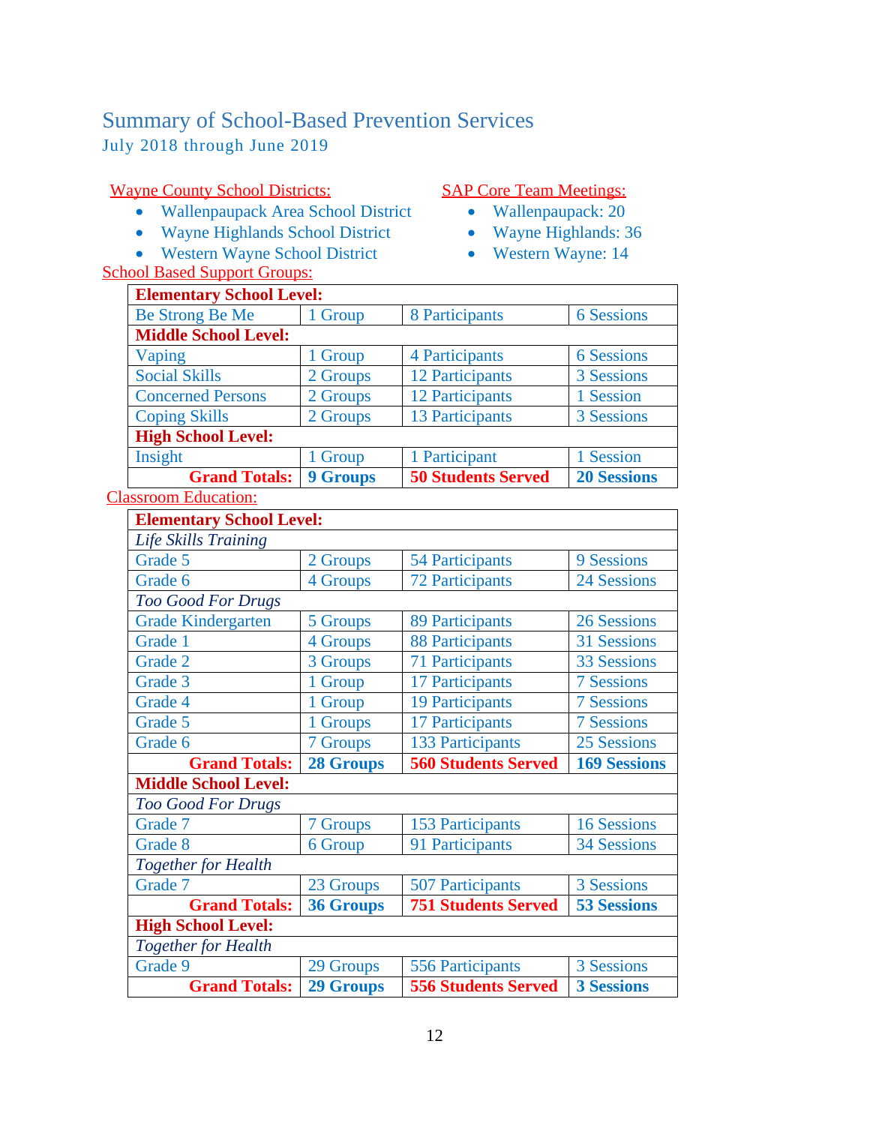### <span id="page-12-0"></span>Summary of School-Based Prevention Services July 2018 through June 2019

### Wayne County School Districts:

- Wallenpaupack Area School District
- Wayne Highlands School District
- Western Wayne School District

### School Based Support Groups:

#### SAP Core Team Meetings:

- Wallenpaupack: 20
- Wayne Highlands: 36
- Western Wayne: 14

| <b>Elementary School Level:</b> |                 |                           |                    |  |  |  |  |  |  |
|---------------------------------|-----------------|---------------------------|--------------------|--|--|--|--|--|--|
| Be Strong Be Me                 | 1 Group         | 8 Participants            | <b>6 Sessions</b>  |  |  |  |  |  |  |
| <b>Middle School Level:</b>     |                 |                           |                    |  |  |  |  |  |  |
| Vaping                          | 1 Group         | 4 Participants            | <b>6</b> Sessions  |  |  |  |  |  |  |
| <b>Social Skills</b>            | 2 Groups        | 12 Participants           | 3 Sessions         |  |  |  |  |  |  |
| <b>Concerned Persons</b>        | 2 Groups        | 12 Participants           | 1 Session          |  |  |  |  |  |  |
| <b>Coping Skills</b>            | 2 Groups        | 13 Participants           | 3 Sessions         |  |  |  |  |  |  |
| <b>High School Level:</b>       |                 |                           |                    |  |  |  |  |  |  |
| Insight                         | 1 Group         | 1 Participant             | 1 Session          |  |  |  |  |  |  |
| <b>Grand Totals:</b>            | <b>9 Groups</b> | <b>50 Students Served</b> | <b>20 Sessions</b> |  |  |  |  |  |  |

### Classroom Education:

| <b>Elementary School Level:</b> |                  |                            |                     |
|---------------------------------|------------------|----------------------------|---------------------|
| Life Skills Training            |                  |                            |                     |
| Grade 5                         | 2 Groups         | <b>54 Participants</b>     | 9 Sessions          |
| Grade 6                         | 4 Groups         | <b>72 Participants</b>     | <b>24 Sessions</b>  |
| <b>Too Good For Drugs</b>       |                  |                            |                     |
| <b>Grade Kindergarten</b>       | 5 Groups         | <b>89 Participants</b>     | <b>26 Sessions</b>  |
| Grade 1                         | 4 Groups         | <b>88 Participants</b>     | 31 Sessions         |
| Grade 2                         | 3 Groups         | <b>71 Participants</b>     | <b>33 Sessions</b>  |
| Grade 3                         | 1 Group          | 17 Participants            | <b>7 Sessions</b>   |
| Grade 4                         | 1 Group          | <b>19 Participants</b>     | <b>7 Sessions</b>   |
| Grade 5                         | 1 Groups         | 17 Participants            | <b>7 Sessions</b>   |
| Grade 6                         | 7 Groups         | <b>133 Participants</b>    | 25 Sessions         |
|                                 |                  |                            |                     |
| <b>Grand Totals:</b>            | <b>28 Groups</b> | <b>560 Students Served</b> | <b>169 Sessions</b> |
| <b>Middle School Level:</b>     |                  |                            |                     |
| <b>Too Good For Drugs</b>       |                  |                            |                     |
| Grade 7                         | 7 Groups         | <b>153 Participants</b>    | <b>16 Sessions</b>  |
| Grade 8                         | 6 Group          | 91 Participants            | <b>34 Sessions</b>  |
| <b>Together for Health</b>      |                  |                            |                     |
| Grade 7                         | 23 Groups        | <b>507 Participants</b>    | 3 Sessions          |
| <b>Grand Totals:</b>            | <b>36 Groups</b> | <b>751 Students Served</b> | <b>53 Sessions</b>  |
| <b>High School Level:</b>       |                  |                            |                     |
| <b>Together for Health</b>      |                  |                            |                     |
| Grade 9                         | 29 Groups        | <b>556 Participants</b>    | 3 Sessions          |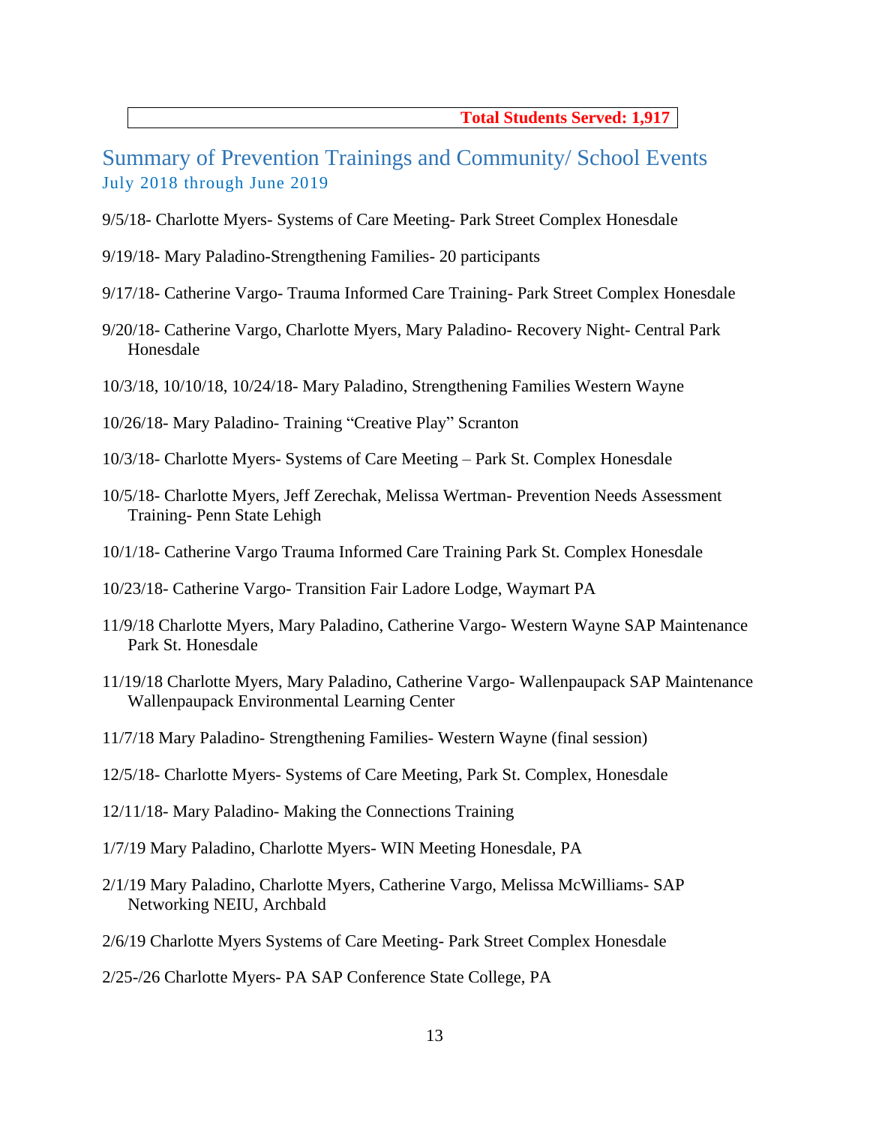**Total Students Served: 1,917**

<span id="page-13-0"></span>Summary of Prevention Trainings and Community/ School Events July 2018 through June 2019

- 9/5/18- Charlotte Myers- Systems of Care Meeting- Park Street Complex Honesdale
- 9/19/18- Mary Paladino-Strengthening Families- 20 participants
- 9/17/18- Catherine Vargo- Trauma Informed Care Training- Park Street Complex Honesdale
- 9/20/18- Catherine Vargo, Charlotte Myers, Mary Paladino- Recovery Night- Central Park Honesdale
- 10/3/18, 10/10/18, 10/24/18- Mary Paladino, Strengthening Families Western Wayne
- 10/26/18- Mary Paladino- Training "Creative Play" Scranton
- 10/3/18- Charlotte Myers- Systems of Care Meeting Park St. Complex Honesdale
- 10/5/18- Charlotte Myers, Jeff Zerechak, Melissa Wertman- Prevention Needs Assessment Training- Penn State Lehigh
- 10/1/18- Catherine Vargo Trauma Informed Care Training Park St. Complex Honesdale
- 10/23/18- Catherine Vargo- Transition Fair Ladore Lodge, Waymart PA
- 11/9/18 Charlotte Myers, Mary Paladino, Catherine Vargo- Western Wayne SAP Maintenance Park St. Honesdale
- 11/19/18 Charlotte Myers, Mary Paladino, Catherine Vargo- Wallenpaupack SAP Maintenance Wallenpaupack Environmental Learning Center
- 11/7/18 Mary Paladino- Strengthening Families- Western Wayne (final session)
- 12/5/18- Charlotte Myers- Systems of Care Meeting, Park St. Complex, Honesdale
- 12/11/18- Mary Paladino- Making the Connections Training
- 1/7/19 Mary Paladino, Charlotte Myers- WIN Meeting Honesdale, PA
- 2/1/19 Mary Paladino, Charlotte Myers, Catherine Vargo, Melissa McWilliams- SAP Networking NEIU, Archbald
- 2/6/19 Charlotte Myers Systems of Care Meeting- Park Street Complex Honesdale

2/25-/26 Charlotte Myers- PA SAP Conference State College, PA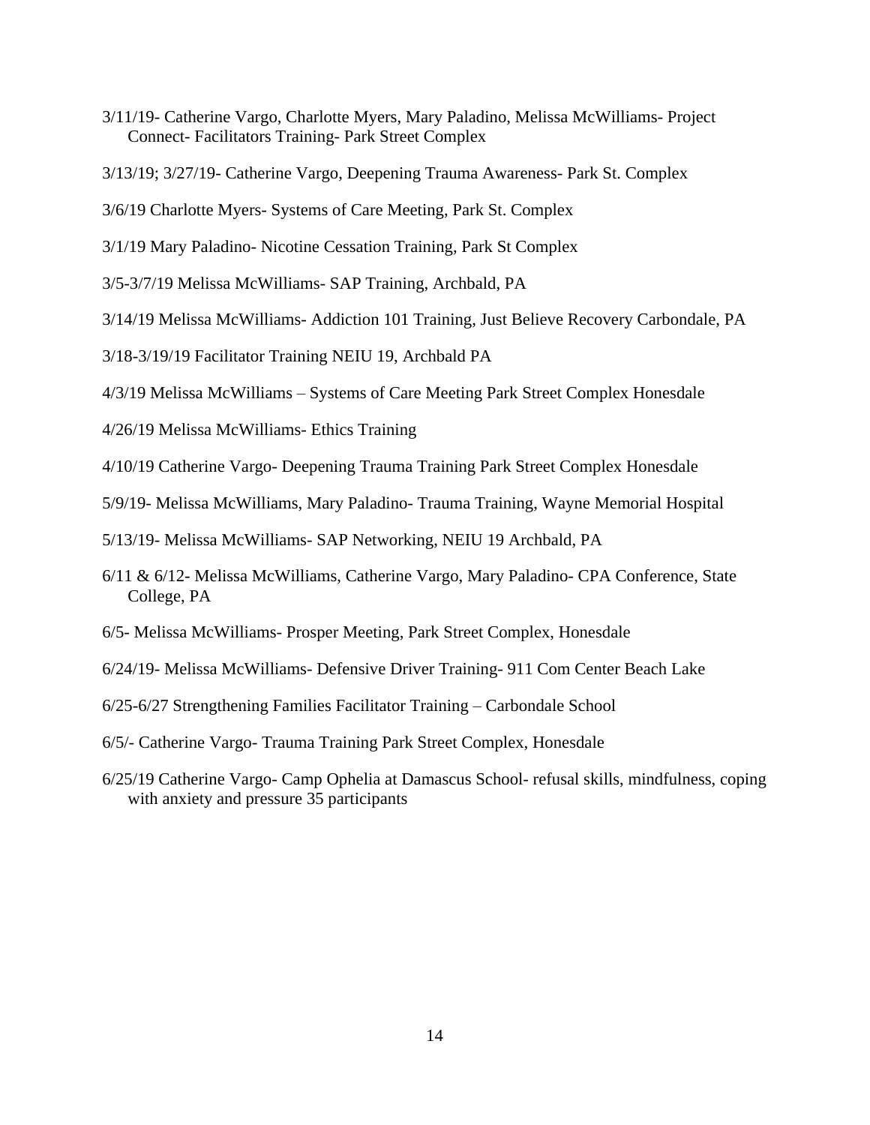- 3/11/19- Catherine Vargo, Charlotte Myers, Mary Paladino, Melissa McWilliams- Project Connect- Facilitators Training- Park Street Complex
- 3/13/19; 3/27/19- Catherine Vargo, Deepening Trauma Awareness- Park St. Complex
- 3/6/19 Charlotte Myers- Systems of Care Meeting, Park St. Complex
- 3/1/19 Mary Paladino- Nicotine Cessation Training, Park St Complex
- 3/5-3/7/19 Melissa McWilliams- SAP Training, Archbald, PA
- 3/14/19 Melissa McWilliams- Addiction 101 Training, Just Believe Recovery Carbondale, PA
- 3/18-3/19/19 Facilitator Training NEIU 19, Archbald PA
- 4/3/19 Melissa McWilliams Systems of Care Meeting Park Street Complex Honesdale
- 4/26/19 Melissa McWilliams- Ethics Training
- 4/10/19 Catherine Vargo- Deepening Trauma Training Park Street Complex Honesdale
- 5/9/19- Melissa McWilliams, Mary Paladino- Trauma Training, Wayne Memorial Hospital
- 5/13/19- Melissa McWilliams- SAP Networking, NEIU 19 Archbald, PA
- 6/11 & 6/12- Melissa McWilliams, Catherine Vargo, Mary Paladino- CPA Conference, State College, PA
- 6/5- Melissa McWilliams- Prosper Meeting, Park Street Complex, Honesdale
- 6/24/19- Melissa McWilliams- Defensive Driver Training- 911 Com Center Beach Lake
- 6/25-6/27 Strengthening Families Facilitator Training Carbondale School
- 6/5/- Catherine Vargo- Trauma Training Park Street Complex, Honesdale
- 6/25/19 Catherine Vargo- Camp Ophelia at Damascus School- refusal skills, mindfulness, coping with anxiety and pressure 35 participants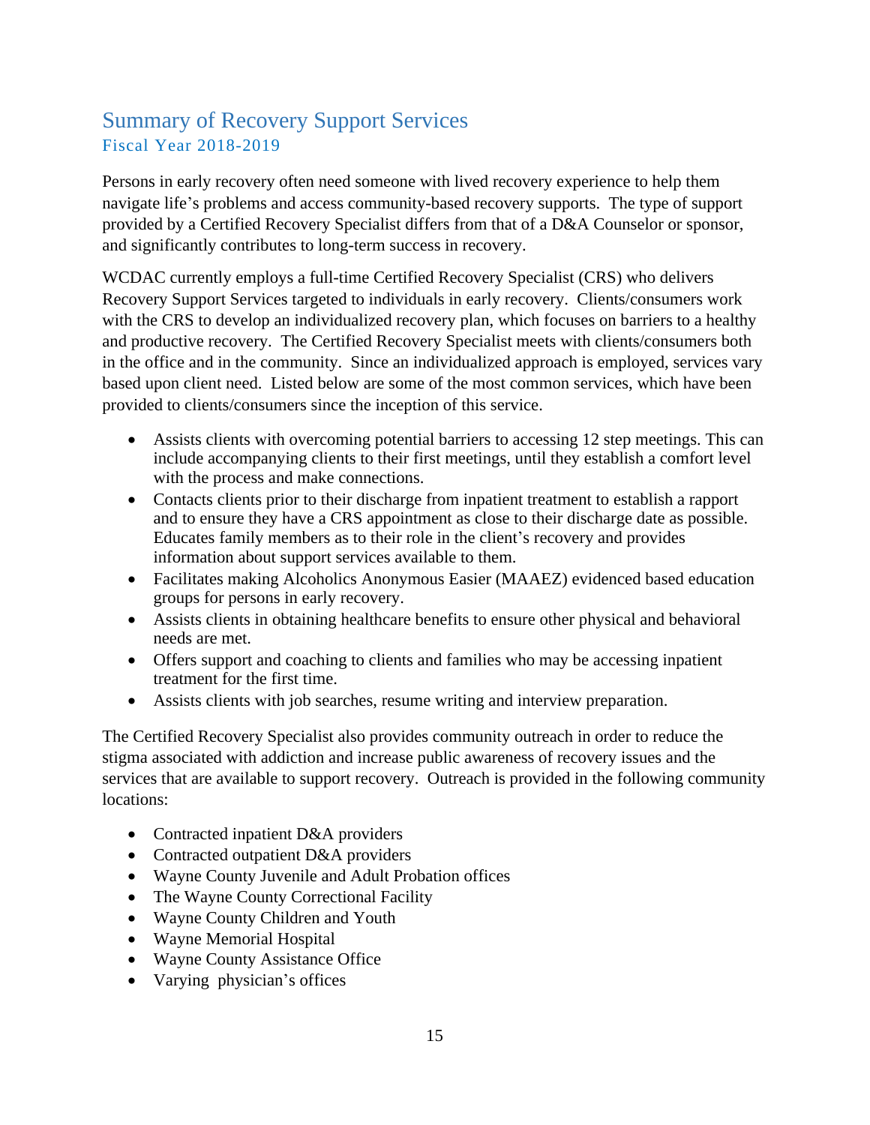## <span id="page-15-0"></span>Summary of Recovery Support Services Fiscal Year 2018-2019

Persons in early recovery often need someone with lived recovery experience to help them navigate life's problems and access community-based recovery supports. The type of support provided by a Certified Recovery Specialist differs from that of a D&A Counselor or sponsor, and significantly contributes to long-term success in recovery.

WCDAC currently employs a full-time Certified Recovery Specialist (CRS) who delivers Recovery Support Services targeted to individuals in early recovery. Clients/consumers work with the CRS to develop an individualized recovery plan, which focuses on barriers to a healthy and productive recovery. The Certified Recovery Specialist meets with clients/consumers both in the office and in the community. Since an individualized approach is employed, services vary based upon client need. Listed below are some of the most common services, which have been provided to clients/consumers since the inception of this service.

- Assists clients with overcoming potential barriers to accessing 12 step meetings. This can include accompanying clients to their first meetings, until they establish a comfort level with the process and make connections.
- Contacts clients prior to their discharge from inpatient treatment to establish a rapport and to ensure they have a CRS appointment as close to their discharge date as possible. Educates family members as to their role in the client's recovery and provides information about support services available to them.
- Facilitates making Alcoholics Anonymous Easier (MAAEZ) evidenced based education groups for persons in early recovery.
- Assists clients in obtaining healthcare benefits to ensure other physical and behavioral needs are met.
- Offers support and coaching to clients and families who may be accessing inpatient treatment for the first time.
- Assists clients with job searches, resume writing and interview preparation.

The Certified Recovery Specialist also provides community outreach in order to reduce the stigma associated with addiction and increase public awareness of recovery issues and the services that are available to support recovery. Outreach is provided in the following community locations:

- Contracted inpatient D&A providers
- Contracted outpatient D&A providers
- Wayne County Juvenile and Adult Probation offices
- The Wayne County Correctional Facility
- Wayne County Children and Youth
- Wayne Memorial Hospital
- Wayne County Assistance Office
- Varying physician's offices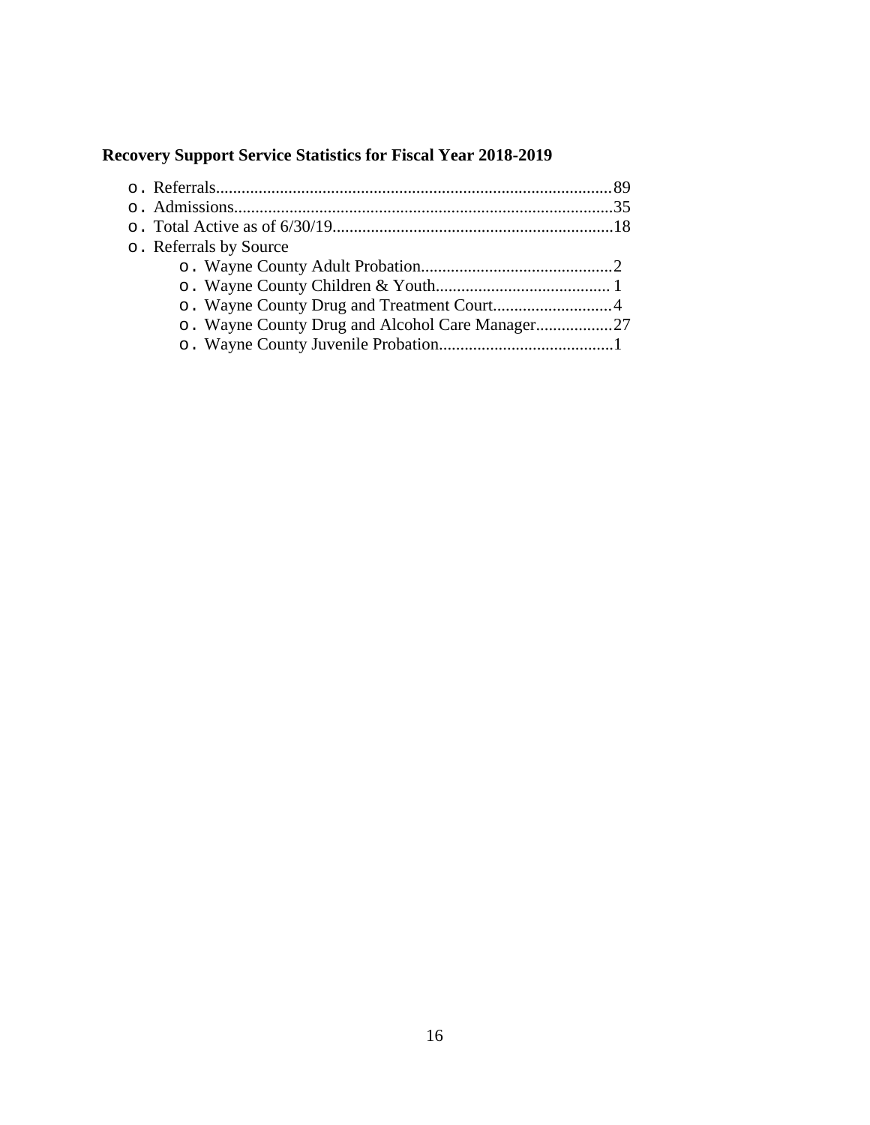### **Recovery Support Service Statistics for Fiscal Year 2018-2019**

| o. Referrals by Source                          |  |
|-------------------------------------------------|--|
|                                                 |  |
|                                                 |  |
|                                                 |  |
| o. Wayne County Drug and Alcohol Care Manager27 |  |
|                                                 |  |
|                                                 |  |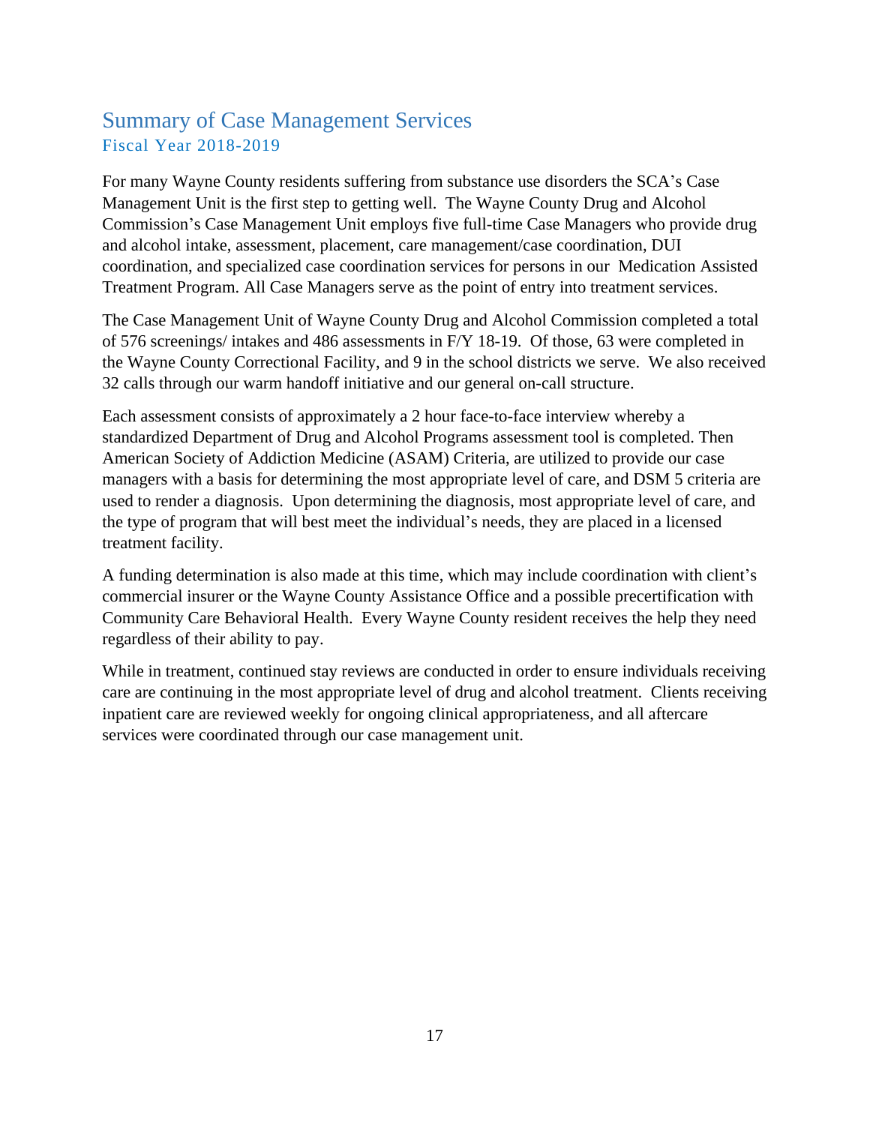### <span id="page-17-0"></span>Summary of Case Management Services Fiscal Year 2018-2019

For many Wayne County residents suffering from substance use disorders the SCA's Case Management Unit is the first step to getting well. The Wayne County Drug and Alcohol Commission's Case Management Unit employs five full-time Case Managers who provide drug and alcohol intake, assessment, placement, care management/case coordination, DUI coordination, and specialized case coordination services for persons in our Medication Assisted Treatment Program. All Case Managers serve as the point of entry into treatment services.

The Case Management Unit of Wayne County Drug and Alcohol Commission completed a total of 576 screenings/ intakes and 486 assessments in F/Y 18-19. Of those, 63 were completed in the Wayne County Correctional Facility, and 9 in the school districts we serve. We also received 32 calls through our warm handoff initiative and our general on-call structure.

Each assessment consists of approximately a 2 hour face-to-face interview whereby a standardized Department of Drug and Alcohol Programs assessment tool is completed. Then American Society of Addiction Medicine (ASAM) Criteria, are utilized to provide our case managers with a basis for determining the most appropriate level of care, and DSM 5 criteria are used to render a diagnosis. Upon determining the diagnosis, most appropriate level of care, and the type of program that will best meet the individual's needs, they are placed in a licensed treatment facility.

A funding determination is also made at this time, which may include coordination with client's commercial insurer or the Wayne County Assistance Office and a possible precertification with Community Care Behavioral Health. Every Wayne County resident receives the help they need regardless of their ability to pay.

While in treatment, continued stay reviews are conducted in order to ensure individuals receiving care are continuing in the most appropriate level of drug and alcohol treatment. Clients receiving inpatient care are reviewed weekly for ongoing clinical appropriateness, and all aftercare services were coordinated through our case management unit.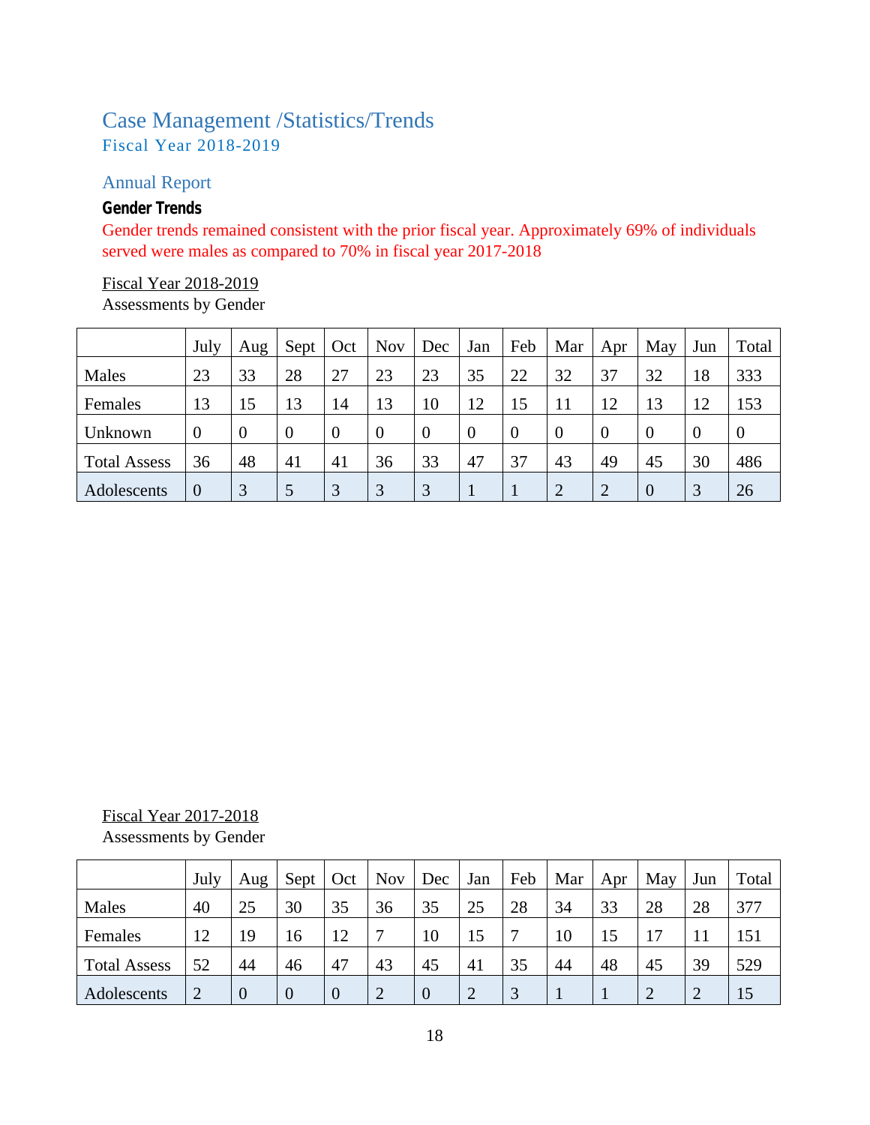## <span id="page-18-0"></span>Case Management /Statistics/Trends Fiscal Year 2018-2019

### <span id="page-18-1"></span>Annual Report

#### *Gender Trends*

Gender trends remained consistent with the prior fiscal year. Approximately 69% of individuals served were males as compared to 70% in fiscal year 2017-2018

# Fiscal Year 2018-2019

Assessments by Gender

|                     | July           | Aug            | Sept     | Oct      | <b>Nov</b>     | Dec            | Jan      | Feb            | Mar      | Apr            | May      | Jun      | Total            |
|---------------------|----------------|----------------|----------|----------|----------------|----------------|----------|----------------|----------|----------------|----------|----------|------------------|
| Males               | 23             | 33             | 28       | 27       | 23             | 23             | 35       | 22             | 32       | 37             | 32       | 18       | 333              |
| Females             | 13             | 15             | 13       | 14       | 13             | 10             | 12       | 15             | 11       | 12             | 13       | 12       | 153              |
| Unknown             | $\overline{0}$ | $\overline{0}$ | $\theta$ | $\theta$ | $\overline{0}$ | $\overline{0}$ | $\theta$ | $\overline{0}$ | $\theta$ | $\overline{0}$ | $\Omega$ | $\theta$ | $\boldsymbol{0}$ |
| <b>Total Assess</b> | 36             | 48             | 41       | 41       | 36             | 33             | 47       | 37             | 43       | 49             | 45       | 30       | 486              |
| Adolescents         | $\overline{0}$ | 3              | 5        | 3        | 3              | 3              |          |                | 2        | $\overline{2}$ |          | 3        | 26               |

## Fiscal Year 2017-2018

Assessments by Gender

|                     | July           | Aug            | Sept     | Oct            | <b>Nov</b>     | Dec | Jan            | Feb          | Mar | Apr | May | Jun       | Total |
|---------------------|----------------|----------------|----------|----------------|----------------|-----|----------------|--------------|-----|-----|-----|-----------|-------|
| Males               | 40             | 25             | 30       | 35             | 36             | 35  | 25             | 28           | 34  | 33  | 28  | 28        | 377   |
| Females             | 12             | 19             | 16       | 12             | ⇁              | 10  | 15             | $\mathbf{r}$ | 10  | 15  | 17  |           | 151   |
| <b>Total Assess</b> | 52             | 44             | 46       | 47             | 43             | 45  | 41             | 35           | 44  | 48  | 45  | 39        | 529   |
| Adolescents         | $\overline{2}$ | $\overline{0}$ | $\theta$ | $\overline{0}$ | $\overline{2}$ |     | $\overline{2}$ | 3            |     |     |     | $\bigcap$ | 15    |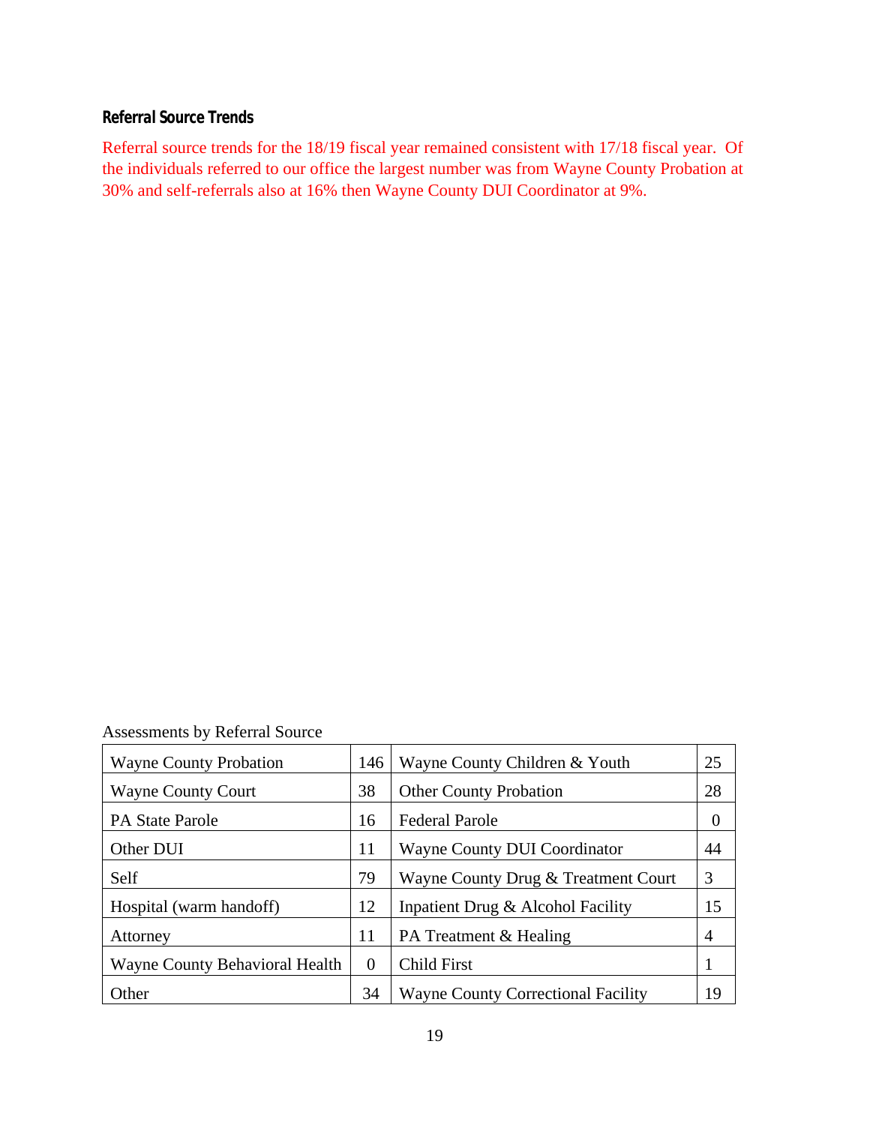#### *Referral Source Trends*

Referral source trends for the 18/19 fiscal year remained consistent with 17/18 fiscal year. Of the individuals referred to our office the largest number was from Wayne County Probation at 30% and self-referrals also at 16% then Wayne County DUI Coordinator at 9%.

Assessments by Referral Source

| <b>Wayne County Probation</b>  | 146      | Wayne County Children & Youth             | 25             |
|--------------------------------|----------|-------------------------------------------|----------------|
| <b>Wayne County Court</b>      | 38       | <b>Other County Probation</b>             | 28             |
| <b>PA State Parole</b>         | 16       | <b>Federal Parole</b>                     | $\theta$       |
| Other DUI                      | 11       | <b>Wayne County DUI Coordinator</b>       | 44             |
| Self                           | 79       | Wayne County Drug & Treatment Court       | 3              |
| Hospital (warm handoff)        | 12       | Inpatient Drug & Alcohol Facility         | 15             |
| Attorney                       | 11       | PA Treatment & Healing                    | $\overline{4}$ |
| Wayne County Behavioral Health | $\Omega$ | <b>Child First</b>                        |                |
| Other                          | 34       | <b>Wayne County Correctional Facility</b> | 19             |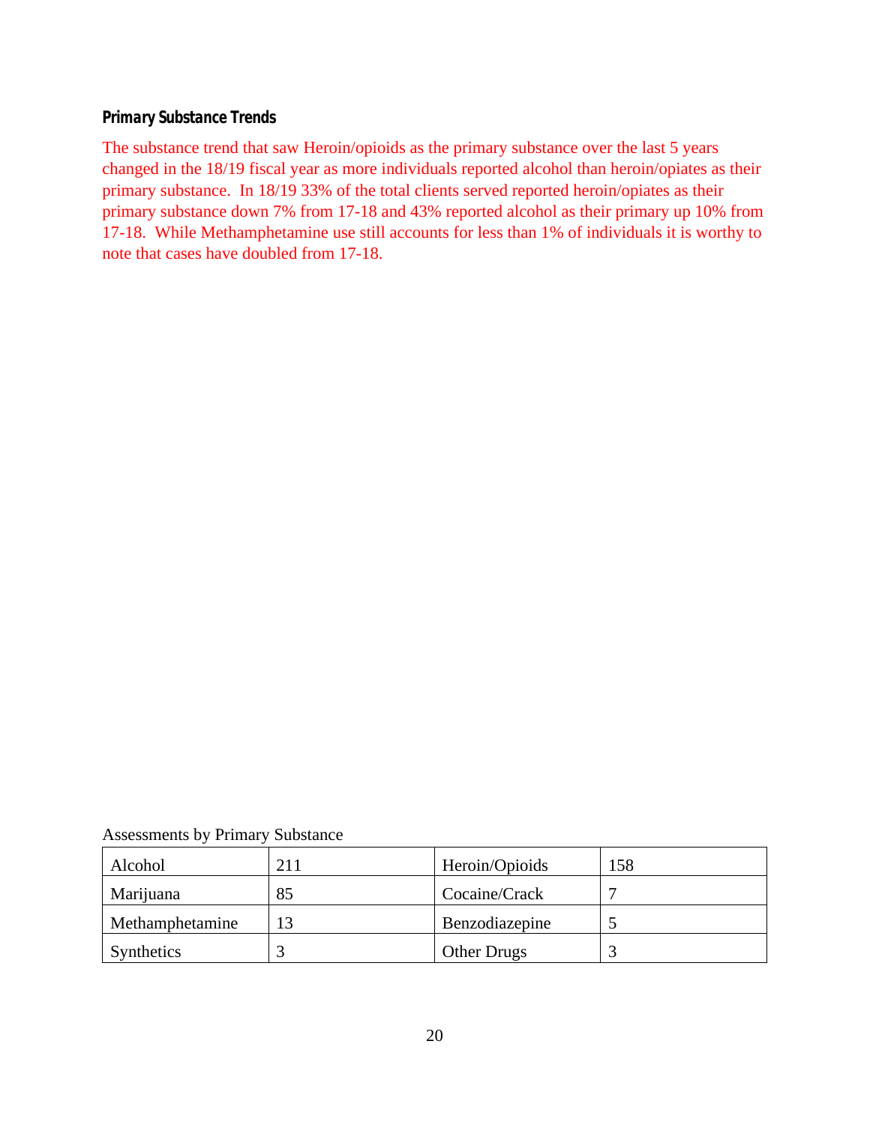#### *Primary Substance Trends*

The substance trend that saw Heroin/opioids as the primary substance over the last 5 years changed in the 18/19 fiscal year as more individuals reported alcohol than heroin/opiates as their primary substance. In 18/19 33% of the total clients served reported heroin/opiates as their primary substance down 7% from 17-18 and 43% reported alcohol as their primary up 10% from 17-18. While Methamphetamine use still accounts for less than 1% of individuals it is worthy to note that cases have doubled from 17-18.

Assessments by Primary Substance

| Alcohol         | 211 | Heroin/Opioids     | 158 |
|-----------------|-----|--------------------|-----|
| Marijuana       | 85  | Cocaine/Crack      |     |
| Methamphetamine |     | Benzodiazepine     |     |
| Synthetics      |     | <b>Other Drugs</b> |     |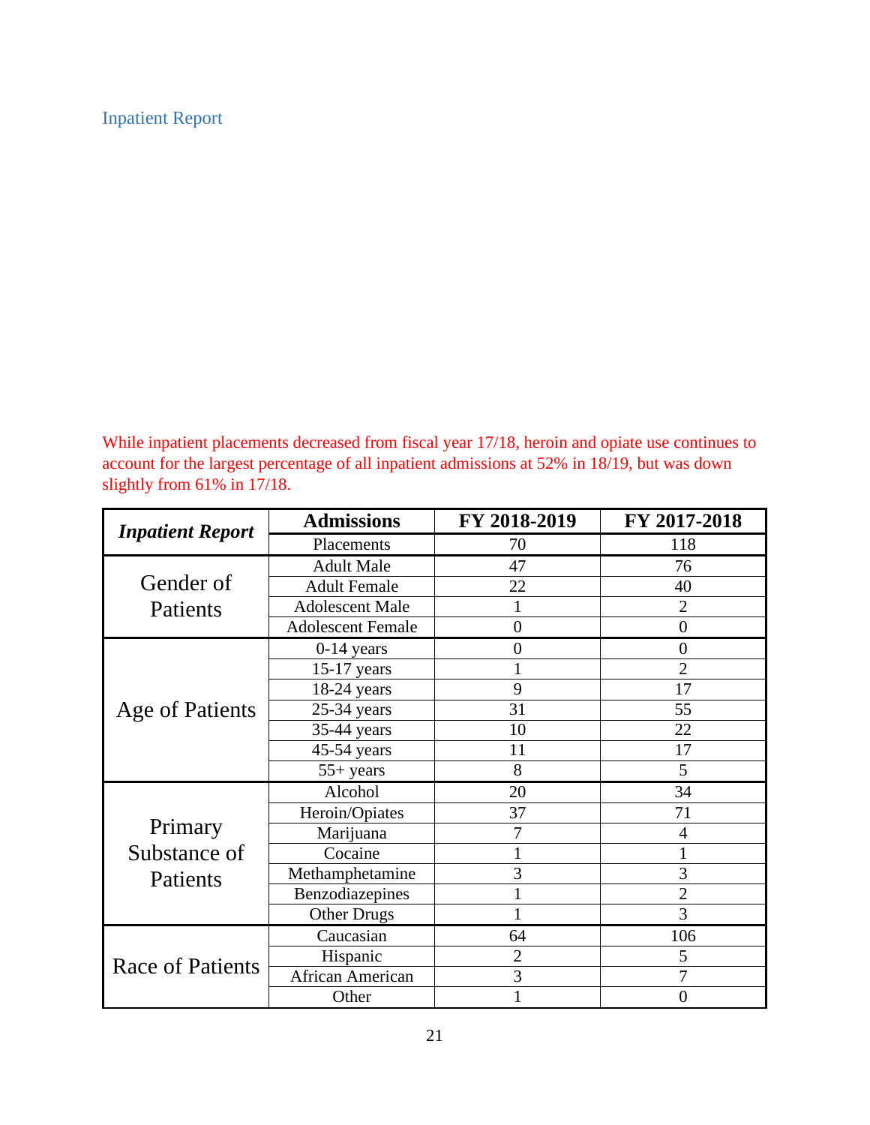### <span id="page-21-0"></span>Inpatient Report

While inpatient placements decreased from fiscal year 17/18, heroin and opiate use continues to account for the largest percentage of all inpatient admissions at 52% in 18/19, but was down slightly from 61% in 17/18.

| <b>Inpatient Report</b> | <b>Admissions</b>        | FY 2018-2019   | FY 2017-2018   |  |  |
|-------------------------|--------------------------|----------------|----------------|--|--|
|                         | Placements               | 70             | 118            |  |  |
|                         | <b>Adult Male</b>        | 47             | 76             |  |  |
| Gender of               | <b>Adult Female</b>      | 22             | 40             |  |  |
| Patients                | <b>Adolescent Male</b>   | 1              | $\overline{2}$ |  |  |
|                         | <b>Adolescent Female</b> | $\overline{0}$ | $\overline{0}$ |  |  |
|                         | $0-14$ years             | $\overline{0}$ | $\overline{0}$ |  |  |
|                         | $15-17$ years            |                | $\overline{2}$ |  |  |
|                         | $18-24$ years            | 9              | 17             |  |  |
| Age of Patients         | 25-34 years              | 31             | 55             |  |  |
|                         | 35-44 years              | 10             | 22             |  |  |
|                         | 45-54 years              | 11             | 17             |  |  |
|                         | $55+ years$              | 8              | 5              |  |  |
|                         | Alcohol                  | 20             | 34             |  |  |
|                         | Heroin/Opiates           | 37             | 71             |  |  |
| Primary                 | Marijuana                | 7              | 4              |  |  |
| Substance of            | Cocaine                  |                |                |  |  |
| Patients                | Methamphetamine          | 3              | 3              |  |  |
|                         | Benzodiazepines          | 1              | 2              |  |  |
|                         | <b>Other Drugs</b>       |                | 3              |  |  |
|                         | Caucasian                | 64             | 106            |  |  |
| <b>Race of Patients</b> | Hispanic                 | $\overline{2}$ | 5              |  |  |
|                         | African American         | 3              | 7              |  |  |
|                         | Other                    |                | $\overline{0}$ |  |  |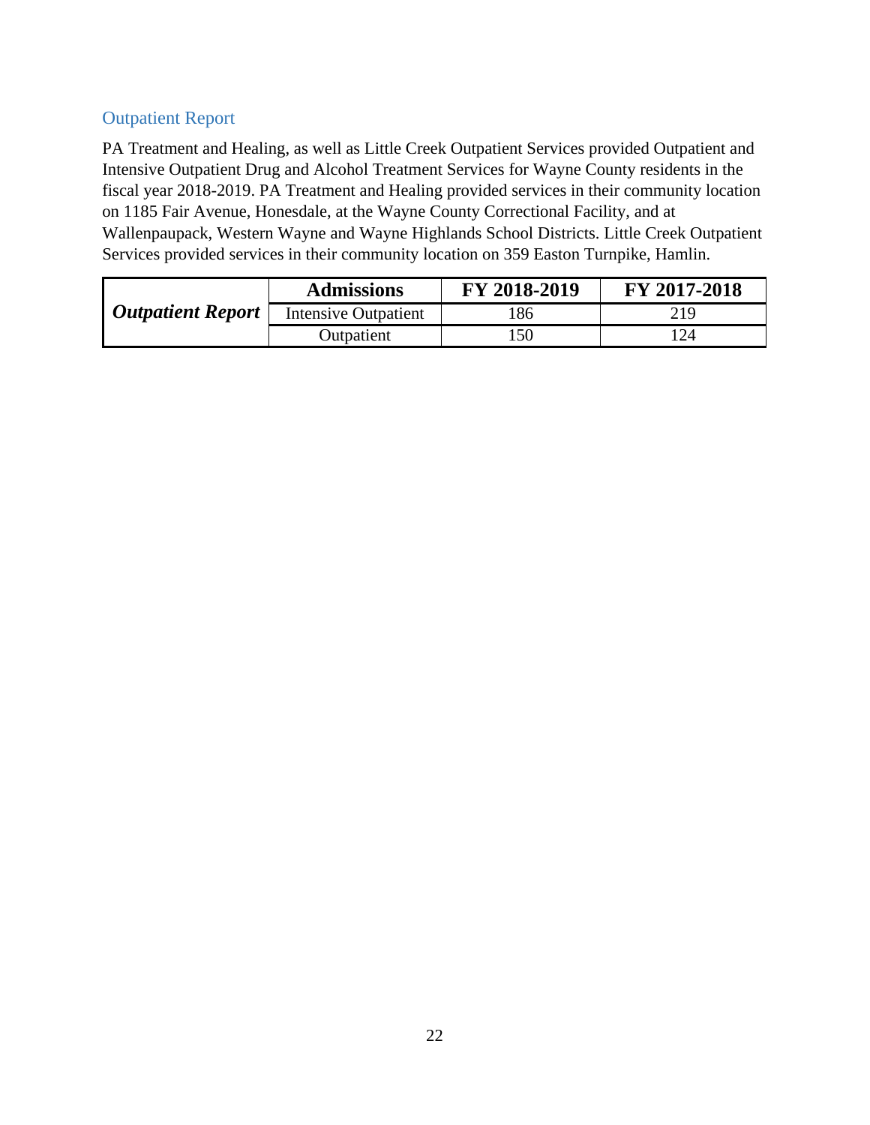### <span id="page-22-0"></span>Outpatient Report

PA Treatment and Healing, as well as Little Creek Outpatient Services provided Outpatient and Intensive Outpatient Drug and Alcohol Treatment Services for Wayne County residents in the fiscal year 2018-2019. PA Treatment and Healing provided services in their community location on 1185 Fair Avenue, Honesdale, at the Wayne County Correctional Facility, and at Wallenpaupack, Western Wayne and Wayne Highlands School Districts. Little Creek Outpatient Services provided services in their community location on 359 Easton Turnpike, Hamlin.

|                          | <b>Admissions</b>    | FY 2018-2019 | FY 2017-2018 |
|--------------------------|----------------------|--------------|--------------|
| <b>Outpatient Report</b> | Intensive Outpatient | 186          | 219          |
|                          | Outpatient           | .50          |              |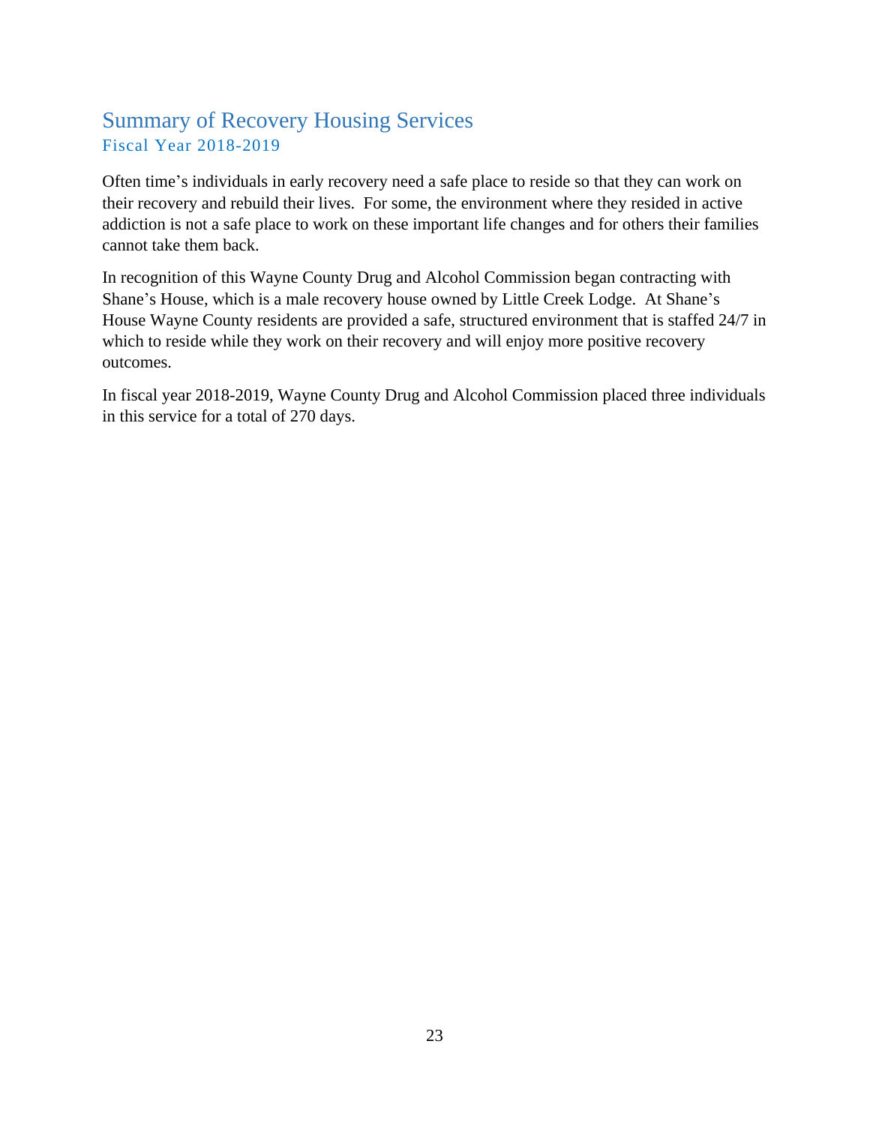## <span id="page-23-0"></span>Summary of Recovery Housing Services Fiscal Year 2018-2019

Often time's individuals in early recovery need a safe place to reside so that they can work on their recovery and rebuild their lives. For some, the environment where they resided in active addiction is not a safe place to work on these important life changes and for others their families cannot take them back.

In recognition of this Wayne County Drug and Alcohol Commission began contracting with Shane's House, which is a male recovery house owned by Little Creek Lodge. At Shane's House Wayne County residents are provided a safe, structured environment that is staffed 24/7 in which to reside while they work on their recovery and will enjoy more positive recovery outcomes.

In fiscal year 2018-2019, Wayne County Drug and Alcohol Commission placed three individuals in this service for a total of 270 days.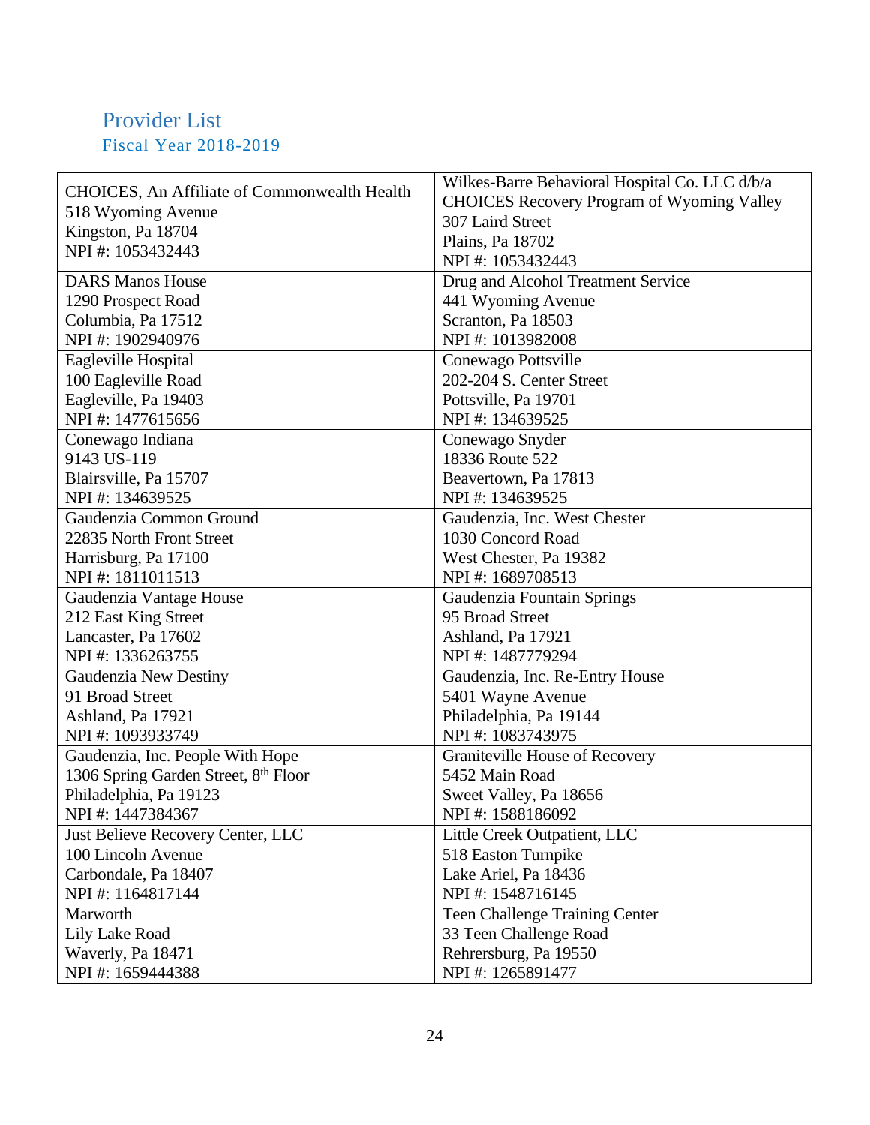## <span id="page-24-0"></span>Provider List Fiscal Year 2018-2019

|                                                     | Wilkes-Barre Behavioral Hospital Co. LLC d/b/a    |  |
|-----------------------------------------------------|---------------------------------------------------|--|
| <b>CHOICES, An Affiliate of Commonwealth Health</b> | <b>CHOICES Recovery Program of Wyoming Valley</b> |  |
| 518 Wyoming Avenue                                  | 307 Laird Street                                  |  |
| Kingston, Pa 18704                                  | Plains, Pa 18702                                  |  |
| NPI#: 1053432443                                    | NPI#: 1053432443                                  |  |
| <b>DARS Manos House</b>                             | Drug and Alcohol Treatment Service                |  |
| 1290 Prospect Road                                  | 441 Wyoming Avenue                                |  |
| Columbia, Pa 17512                                  | Scranton, Pa 18503                                |  |
| NPI#: 1902940976                                    | NPI#: 1013982008                                  |  |
| Eagleville Hospital                                 | Conewago Pottsville                               |  |
| 100 Eagleville Road                                 | 202-204 S. Center Street                          |  |
| Eagleville, Pa 19403                                | Pottsville, Pa 19701                              |  |
| NPI#: 1477615656                                    | NPI#: 134639525                                   |  |
| Conewago Indiana                                    | Conewago Snyder                                   |  |
| 9143 US-119                                         | 18336 Route 522                                   |  |
| Blairsville, Pa 15707                               | Beavertown, Pa 17813                              |  |
| NPI#: 134639525                                     | NPI#: 134639525                                   |  |
| Gaudenzia Common Ground                             | Gaudenzia, Inc. West Chester                      |  |
| 22835 North Front Street                            | 1030 Concord Road                                 |  |
| Harrisburg, Pa 17100                                | West Chester, Pa 19382                            |  |
| NPI#: 1811011513                                    | NPI#: 1689708513                                  |  |
| Gaudenzia Vantage House                             | Gaudenzia Fountain Springs                        |  |
| 212 East King Street                                | 95 Broad Street                                   |  |
| Lancaster, Pa 17602                                 | Ashland, Pa 17921                                 |  |
| NPI#: 1336263755                                    | NPI #: 1487779294                                 |  |
| Gaudenzia New Destiny                               | Gaudenzia, Inc. Re-Entry House                    |  |
| 91 Broad Street                                     | 5401 Wayne Avenue                                 |  |
| Ashland, Pa 17921                                   | Philadelphia, Pa 19144                            |  |
| NPI#: 1093933749                                    | NPI#: 1083743975                                  |  |
| Gaudenzia, Inc. People With Hope                    | Graniteville House of Recovery                    |  |
| 1306 Spring Garden Street, 8th Floor                | 5452 Main Road                                    |  |
| Philadelphia, Pa 19123                              | Sweet Valley, Pa 18656                            |  |
| NPI#: 1447384367                                    | NPI#: 1588186092                                  |  |
| Just Believe Recovery Center, LLC                   | Little Creek Outpatient, LLC                      |  |
| 100 Lincoln Avenue                                  | 518 Easton Turnpike                               |  |
| Carbondale, Pa 18407                                | Lake Ariel, Pa 18436                              |  |
| NPI#: 1164817144                                    | NPI#: 1548716145                                  |  |
| Marworth                                            | Teen Challenge Training Center                    |  |
| Lily Lake Road                                      | 33 Teen Challenge Road                            |  |
| Waverly, Pa 18471                                   | Rehrersburg, Pa 19550                             |  |
| NPI#: 1659444388                                    | NPI#: 1265891477                                  |  |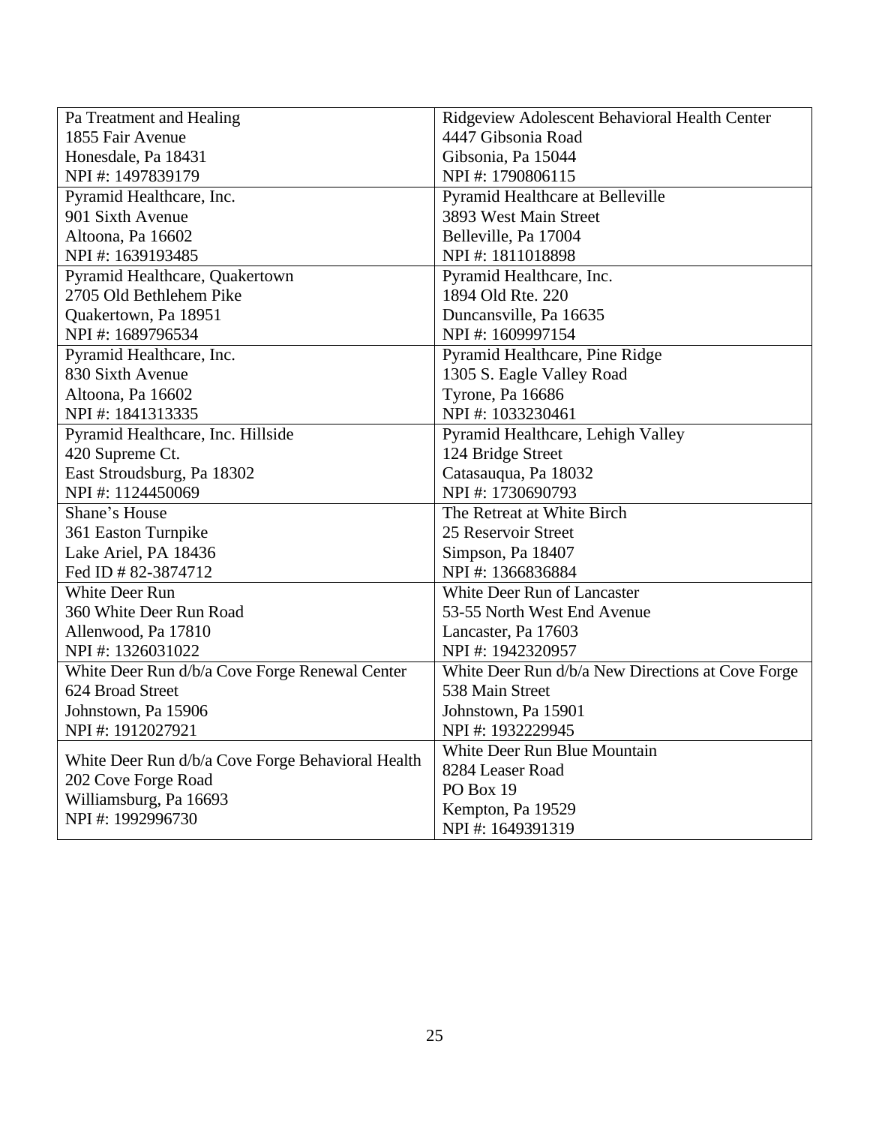| Pa Treatment and Healing                                                 | Ridgeview Adolescent Behavioral Health Center     |
|--------------------------------------------------------------------------|---------------------------------------------------|
| 1855 Fair Avenue                                                         | 4447 Gibsonia Road                                |
| Honesdale, Pa 18431                                                      | Gibsonia, Pa 15044                                |
| NPI #: 1497839179                                                        | NPI#: 1790806115                                  |
| Pyramid Healthcare, Inc.                                                 | Pyramid Healthcare at Belleville                  |
| 901 Sixth Avenue                                                         | 3893 West Main Street                             |
| Altoona, Pa 16602                                                        | Belleville, Pa 17004                              |
| NPI#: 1639193485                                                         | NPI#: 1811018898                                  |
| Pyramid Healthcare, Quakertown                                           | Pyramid Healthcare, Inc.                          |
| 2705 Old Bethlehem Pike                                                  | 1894 Old Rte. 220                                 |
| Quakertown, Pa 18951                                                     | Duncansville, Pa 16635                            |
| NPI#: 1689796534                                                         | NPI#: 1609997154                                  |
| Pyramid Healthcare, Inc.                                                 | Pyramid Healthcare, Pine Ridge                    |
| 830 Sixth Avenue                                                         | 1305 S. Eagle Valley Road                         |
| Altoona, Pa 16602                                                        | Tyrone, Pa 16686                                  |
| NPI#: 1841313335                                                         | NPI#: 1033230461                                  |
| Pyramid Healthcare, Inc. Hillside                                        | Pyramid Healthcare, Lehigh Valley                 |
| 420 Supreme Ct.                                                          | 124 Bridge Street                                 |
| East Stroudsburg, Pa 18302                                               | Catasauqua, Pa 18032                              |
| NPI#: 1124450069                                                         | NPI #: 1730690793                                 |
| Shane's House                                                            | The Retreat at White Birch                        |
| 361 Easton Turnpike                                                      | 25 Reservoir Street                               |
| Lake Ariel, PA 18436                                                     | Simpson, Pa 18407                                 |
| Fed ID # 82-3874712                                                      | NPI#: 1366836884                                  |
| <b>White Deer Run</b>                                                    | White Deer Run of Lancaster                       |
| 360 White Deer Run Road                                                  | 53-55 North West End Avenue                       |
| Allenwood, Pa 17810                                                      | Lancaster, Pa 17603                               |
| NPI#: 1326031022                                                         | NPI#: 1942320957                                  |
| White Deer Run d/b/a Cove Forge Renewal Center                           | White Deer Run d/b/a New Directions at Cove Forge |
| 624 Broad Street                                                         | 538 Main Street                                   |
| Johnstown, Pa 15906                                                      | Johnstown, Pa 15901                               |
| NPI#: 1912027921                                                         | NPI#: 1932229945                                  |
|                                                                          | White Deer Run Blue Mountain                      |
| White Deer Run d/b/a Cove Forge Behavioral Health<br>202 Cove Forge Road | 8284 Leaser Road                                  |
| Williamsburg, Pa 16693                                                   | PO Box 19                                         |
| NPI#: 1992996730                                                         | Kempton, Pa 19529                                 |
|                                                                          | NPI#: 1649391319                                  |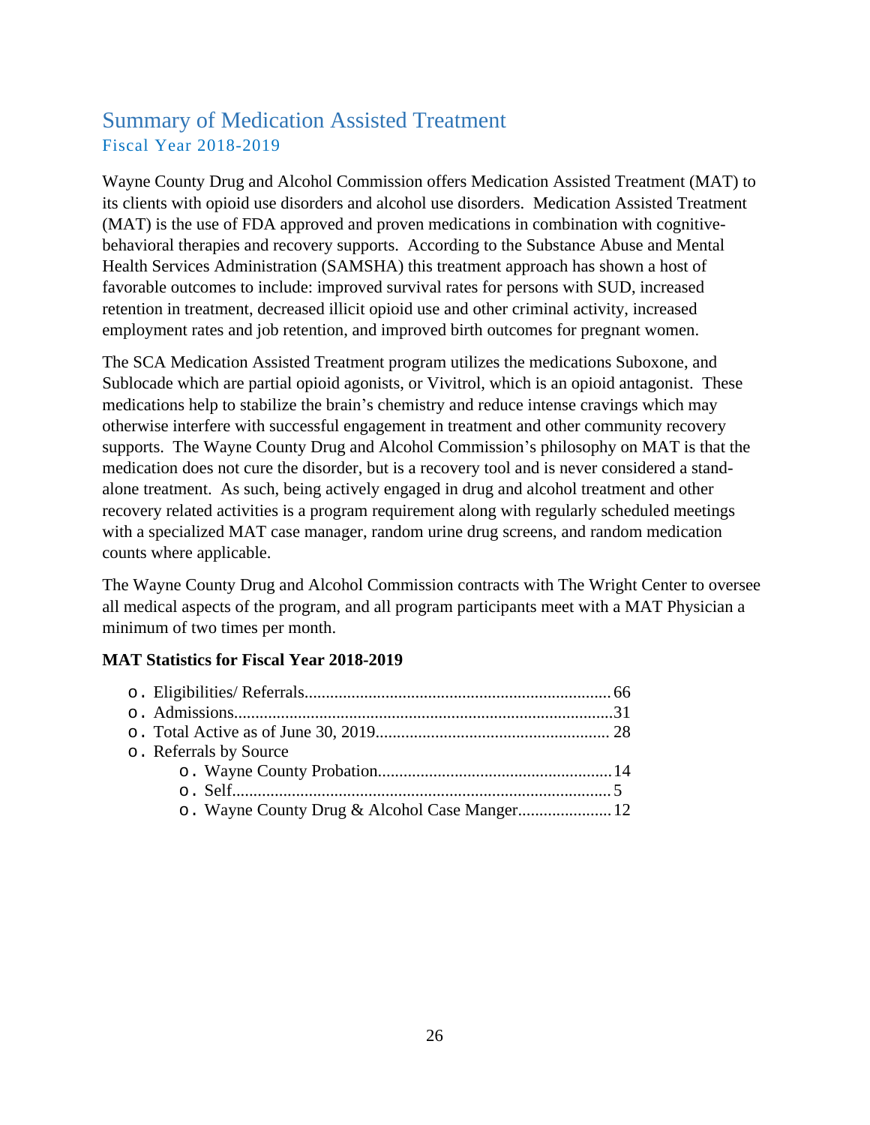### <span id="page-26-0"></span>Summary of Medication Assisted Treatment Fiscal Year 2018-2019

Wayne County Drug and Alcohol Commission offers Medication Assisted Treatment (MAT) to its clients with opioid use disorders and alcohol use disorders. Medication Assisted Treatment (MAT) is the use of FDA approved and proven medications in combination with cognitivebehavioral therapies and recovery supports. According to the Substance Abuse and Mental Health Services Administration (SAMSHA) this treatment approach has shown a host of favorable outcomes to include: improved survival rates for persons with SUD, increased retention in treatment, decreased illicit opioid use and other criminal activity, increased employment rates and job retention, and improved birth outcomes for pregnant women.

The SCA Medication Assisted Treatment program utilizes the medications Suboxone, and Sublocade which are partial opioid agonists, or Vivitrol, which is an opioid antagonist. These medications help to stabilize the brain's chemistry and reduce intense cravings which may otherwise interfere with successful engagement in treatment and other community recovery supports. The Wayne County Drug and Alcohol Commission's philosophy on MAT is that the medication does not cure the disorder, but is a recovery tool and is never considered a standalone treatment. As such, being actively engaged in drug and alcohol treatment and other recovery related activities is a program requirement along with regularly scheduled meetings with a specialized MAT case manager, random urine drug screens, and random medication counts where applicable.

The Wayne County Drug and Alcohol Commission contracts with The Wright Center to oversee all medical aspects of the program, and all program participants meet with a MAT Physician a minimum of two times per month.

#### **MAT Statistics for Fiscal Year 2018-2019**

| o. Referrals by Source |  |
|------------------------|--|
|                        |  |
|                        |  |
|                        |  |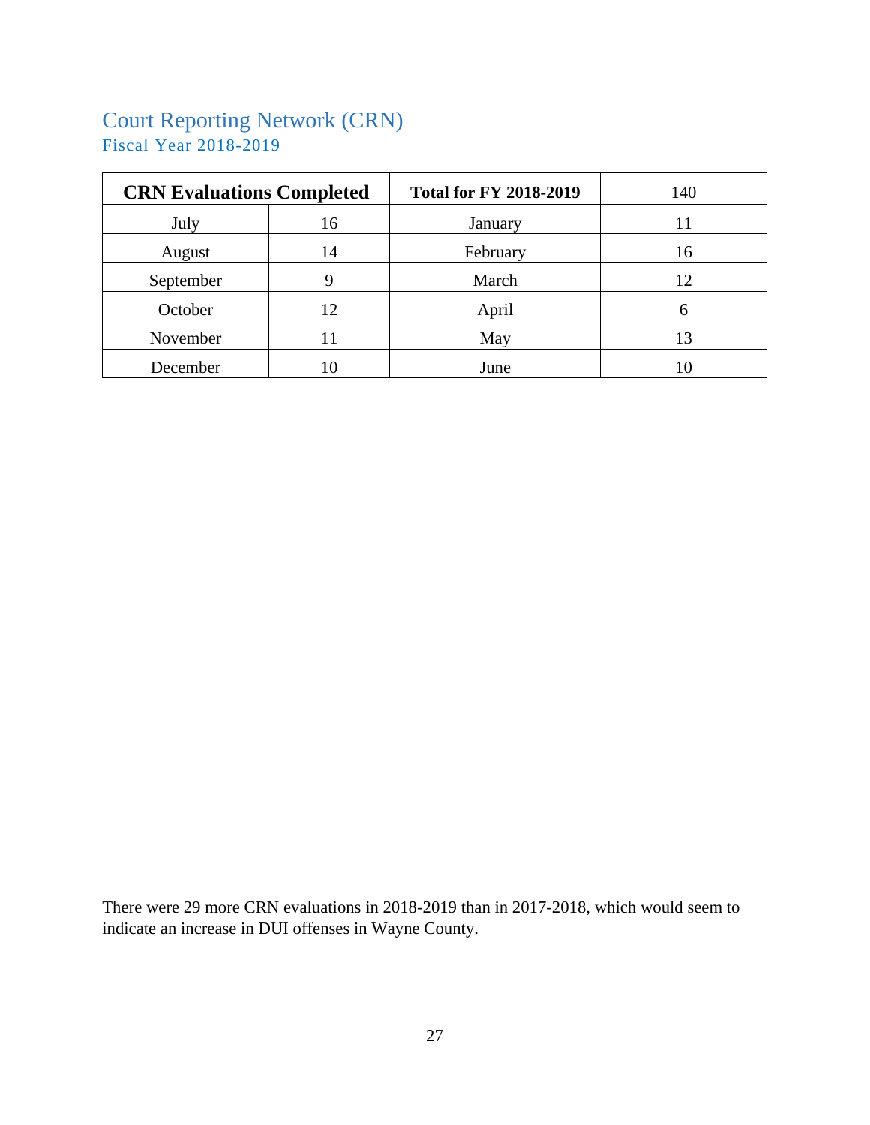## <span id="page-27-0"></span>Court Reporting Network (CRN) Fiscal Year 2018-2019

| <b>CRN Evaluations Completed</b> |      | <b>Total for FY 2018-2019</b> | 140 |
|----------------------------------|------|-------------------------------|-----|
| July                             | 16   | January                       | 11  |
| August                           | 14   | February                      | 16  |
| September                        | 9    | March                         | 12  |
| October                          | 12   | April                         |     |
| November                         |      | May                           | 13  |
| December                         | l () | June                          |     |

There were 29 more CRN evaluations in 2018-2019 than in 2017-2018, which would seem to indicate an increase in DUI offenses in Wayne County.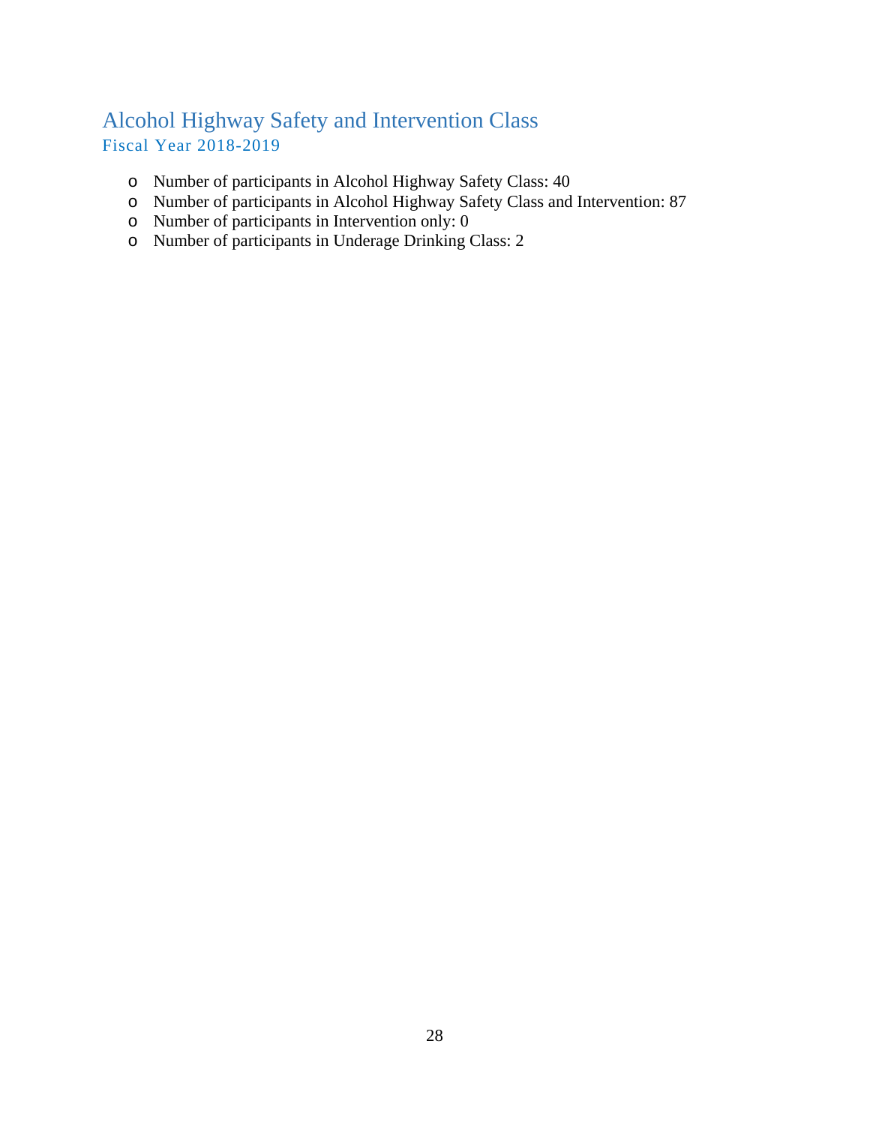### <span id="page-28-0"></span>Alcohol Highway Safety and Intervention Class Fiscal Year 2018-2019

- o Number of participants in Alcohol Highway Safety Class: 40
- o Number of participants in Alcohol Highway Safety Class and Intervention: 87
- o Number of participants in Intervention only: 0
- o Number of participants in Underage Drinking Class: 2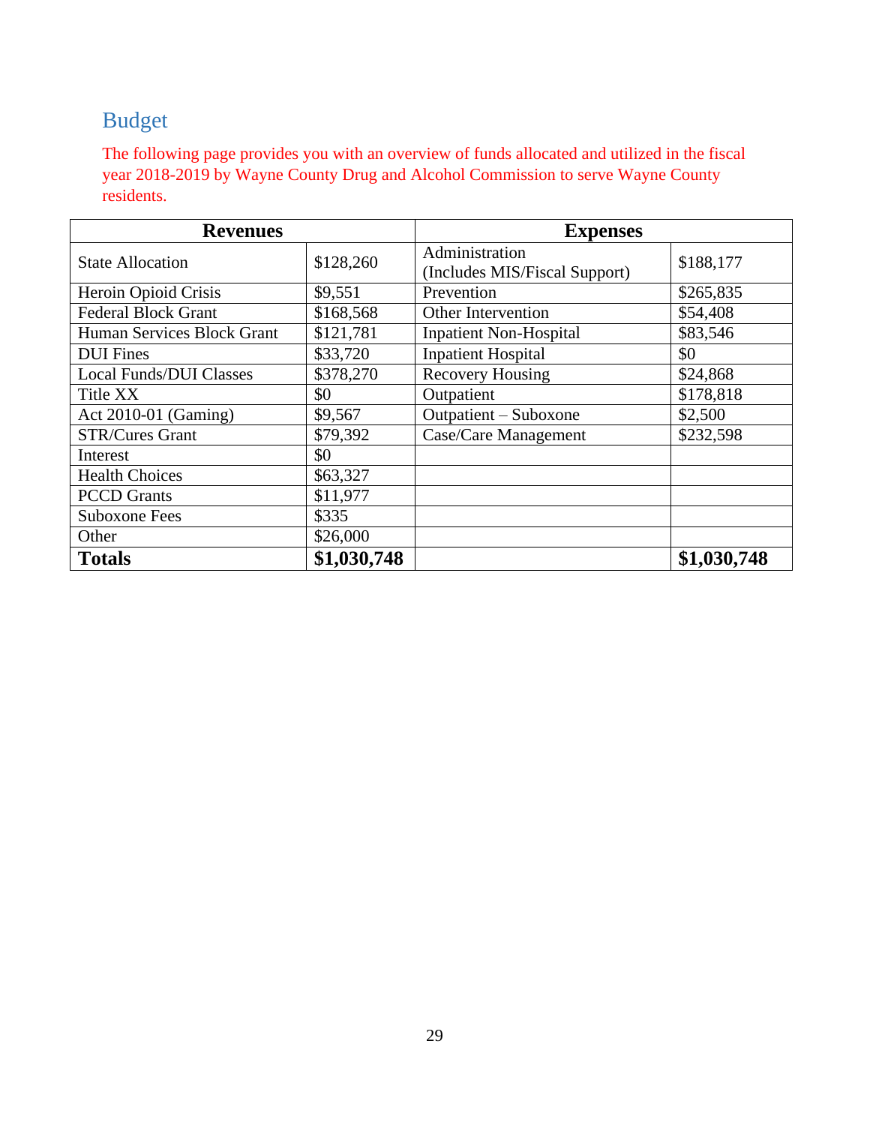# <span id="page-29-0"></span>Budget

The following page provides you with an overview of funds allocated and utilized in the fiscal year 2018-2019 by Wayne County Drug and Alcohol Commission to serve Wayne County residents.

| <b>Revenues</b>                |             | <b>Expenses</b>                                 |             |
|--------------------------------|-------------|-------------------------------------------------|-------------|
| <b>State Allocation</b>        | \$128,260   | Administration<br>(Includes MIS/Fiscal Support) | \$188,177   |
| Heroin Opioid Crisis           | \$9,551     | Prevention                                      | \$265,835   |
| <b>Federal Block Grant</b>     | \$168,568   | <b>Other Intervention</b>                       | \$54,408    |
| Human Services Block Grant     | \$121,781   | <b>Inpatient Non-Hospital</b>                   | \$83,546    |
| <b>DUI</b> Fines               | \$33,720    | <b>Inpatient Hospital</b>                       | \$0         |
| <b>Local Funds/DUI Classes</b> | \$378,270   | <b>Recovery Housing</b>                         | \$24,868    |
| Title XX                       | \$0         | Outpatient                                      | \$178,818   |
| Act 2010-01 (Gaming)           | \$9,567     | Outpatient – Suboxone                           | \$2,500     |
| <b>STR/Cures Grant</b>         | \$79,392    | Case/Care Management                            | \$232,598   |
| Interest                       | \$0         |                                                 |             |
| <b>Health Choices</b>          | \$63,327    |                                                 |             |
| <b>PCCD</b> Grants             | \$11,977    |                                                 |             |
| <b>Suboxone Fees</b>           | \$335       |                                                 |             |
| Other                          | \$26,000    |                                                 |             |
| <b>Totals</b>                  | \$1,030,748 |                                                 | \$1,030,748 |